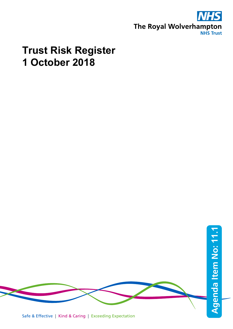

# **Trust Risk Register 1 October 2018**



Safe & Effective | Kind & Caring | Exceeding Expectation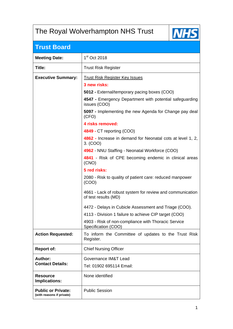## The Royal Wolverhampton NHS Trust



## **Trust Board**

| <b>Meeting Date:</b>                                   | 1 <sup>st</sup> Oct 2018                                                          |
|--------------------------------------------------------|-----------------------------------------------------------------------------------|
| Title:                                                 | <b>Trust Risk Register</b>                                                        |
| <b>Executive Summary:</b>                              | <b>Trust Risk Register Key Issues</b><br>3 new risks:                             |
|                                                        | 5012 - External/temporary pacing boxes (COO)                                      |
|                                                        | 4547 - Emergency Department with potential safeguarding<br>issues (COO)           |
|                                                        | 5097 - Implementing the new Agenda for Change pay deal<br>(CFO)                   |
|                                                        | 4 risks removed:                                                                  |
|                                                        | 4849 - CT reporting (COO)                                                         |
|                                                        | 4862 - Increase in demand for Neonatal cots at level 1, 2,<br>3. (COO)            |
|                                                        | 4962 - NNU Staffing - Neonatal Workforce (COO)                                    |
|                                                        | 4841 - Risk of CPE becoming endemic in clinical areas<br>(CNO)                    |
|                                                        | 5 red risks:                                                                      |
|                                                        | 2080 - Risk to quality of patient care: reduced manpower<br>(COO)                 |
|                                                        | 4661 - Lack of robust system for review and communication<br>of test results (MD) |
|                                                        | 4472 - Delays in Cubicle Assessment and Triage (COO).                             |
|                                                        | 4113 - Division 1 failure to achieve CIP target (COO)                             |
|                                                        | 4903 - Risk of non-compliance with Thoracic Service<br>Specification (COO)        |
| <b>Action Requested:</b>                               | To inform the Committee of updates to the Trust Risk<br>Register.                 |
| <b>Report of:</b>                                      | <b>Chief Nursing Officer</b>                                                      |
| Author:                                                | Governance IM&T Lead                                                              |
| <b>Contact Details:</b>                                | Tel: 01902 695114 Email:                                                          |
| <b>Resource</b><br>Implications:                       | None identified                                                                   |
| <b>Public or Private:</b><br>(with reasons if private) | <b>Public Session</b>                                                             |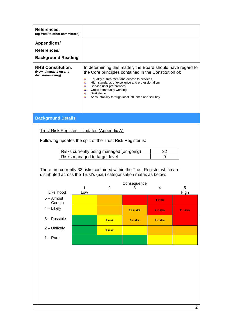| <b>References:</b><br>(eg from/to other committees)                                                                                                |                                                                           |                                                                          |                                                                                                                                                                                                                  |                   |                                                             |  |
|----------------------------------------------------------------------------------------------------------------------------------------------------|---------------------------------------------------------------------------|--------------------------------------------------------------------------|------------------------------------------------------------------------------------------------------------------------------------------------------------------------------------------------------------------|-------------------|-------------------------------------------------------------|--|
| <b>Appendices/</b><br>References/<br><b>Background Reading</b>                                                                                     |                                                                           |                                                                          |                                                                                                                                                                                                                  |                   |                                                             |  |
| <b>NHS Constitution:</b><br>(How it impacts on any<br>decision-making)                                                                             | 4<br>4<br>₩<br>4<br>₩<br>4L                                               | Service user preferences<br>Cross community working<br><b>Best Value</b> | the Core principles contained in the Constitution of:<br>Equality of treatment and access to services<br>High standards of excellence and professionalism<br>Accountability through local influence and scrutiny |                   | In determining this matter, the Board should have regard to |  |
| <b>Background Details</b>                                                                                                                          |                                                                           |                                                                          |                                                                                                                                                                                                                  |                   |                                                             |  |
| <u> Trust Risk Register – Updates (Appendix A)</u><br>Following updates the split of the Trust Risk Register is:                                   |                                                                           |                                                                          |                                                                                                                                                                                                                  |                   |                                                             |  |
|                                                                                                                                                    | Risks currently being managed (on-going)<br>Risks managed to target level |                                                                          | 32<br>0                                                                                                                                                                                                          |                   |                                                             |  |
| There are currently 32 risks contained within the Trust Register which are<br>distributed across the Trust's (5x5) categorisation matrix as below: | 1                                                                         | 2                                                                        | Consequence<br>3                                                                                                                                                                                                 | 4                 | 5                                                           |  |
| Likelihood<br>$5 -$ Almost                                                                                                                         | Low                                                                       |                                                                          |                                                                                                                                                                                                                  |                   | High                                                        |  |
| Certain<br>$4$ – Likely                                                                                                                            |                                                                           |                                                                          | 12 risks                                                                                                                                                                                                         | 1 risk<br>2 risks | 2 risks                                                     |  |
| $3 - Possible$                                                                                                                                     |                                                                           | 1 risk                                                                   | 4 risks                                                                                                                                                                                                          | 9 risks           |                                                             |  |
| 2 - Unlikely                                                                                                                                       |                                                                           | 1 risk                                                                   |                                                                                                                                                                                                                  |                   |                                                             |  |
| $1 - \text{Rare}$                                                                                                                                  |                                                                           |                                                                          |                                                                                                                                                                                                                  |                   |                                                             |  |
|                                                                                                                                                    |                                                                           |                                                                          |                                                                                                                                                                                                                  |                   |                                                             |  |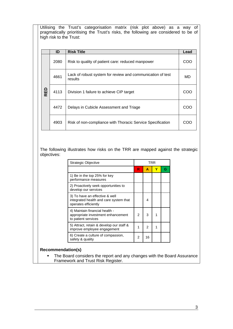Utilising the Trust's categorisation matrix (risk plot above) as a way of pragmatically prioritising the Trust's risks, the following are considered to be of high risk to the Trust:

|        | ID   | <b>Risk Title</b>                                                     | Lead |  |  |  |  |
|--------|------|-----------------------------------------------------------------------|------|--|--|--|--|
|        | 2080 | Risk to quality of patient care: reduced manpower                     | COO  |  |  |  |  |
|        | 4661 | Lack of robust system for review and communication of test<br>results |      |  |  |  |  |
| 品<br>œ | 4113 | Division 1 failure to achieve CIP target                              | COC  |  |  |  |  |
|        | 4472 | Delays in Cubicle Assessment and Triage                               | COC  |  |  |  |  |
|        | 4903 | Risk of non-compliance with Thoracic Service Specification            | COC  |  |  |  |  |

The following illustrates how risks on the TRR are mapped against the strategic objectives:

| <b>Strategic Objective</b>                                                                       |    |    | TRR |  |
|--------------------------------------------------------------------------------------------------|----|----|-----|--|
|                                                                                                  | R. | A  | Y   |  |
| 1) Be in the top 25% for key<br>performance measures                                             |    |    |     |  |
| 2) Proactively seek opportunities to<br>develop our services                                     |    |    |     |  |
| 3) To have an effective & well<br>integrated health and care system that<br>operates efficiently |    | 4  |     |  |
| 4) Maintain financial health -<br>appropriate investment enhancement<br>to patient services      | 2  | 3  |     |  |
| 5) Attract, retain & develop our staff &<br>improve employee engagement                          |    | 2  | 1   |  |
| 6) Create a culture of compassion,<br>safety & quality                                           | 2  | 16 |     |  |

#### **Recommendation(s)**

• The Board considers the report and any changes with the Board Assurance Framework and Trust Risk Register.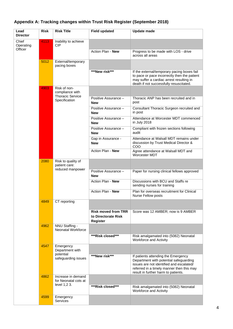| Lead<br><b>Director</b> | <b>Risk</b> | <b>Risk Title</b>                                          | <b>Field updated</b>                                          | Update made                                                                                                                                                                                                   |
|-------------------------|-------------|------------------------------------------------------------|---------------------------------------------------------------|---------------------------------------------------------------------------------------------------------------------------------------------------------------------------------------------------------------|
| Chief<br>Operating      | 4113        | Inability to achieve<br>CIP                                |                                                               |                                                                                                                                                                                                               |
| Officer                 |             |                                                            | Action Plan - New                                             | Progress to be made with LOS - drive<br>across all areas                                                                                                                                                      |
|                         | 5012        | External/temporary<br>pacing boxes                         |                                                               |                                                                                                                                                                                                               |
|                         |             |                                                            | ***New risk***                                                | If the external/temporary pacing boxes fail<br>to pace or pace incorrectly then the patient<br>may suffer a cardiac arrest resulting in<br>death if not successfully resuscitated.                            |
|                         | 4903        | Risk of non-<br>compliance with<br><b>Thoracic Service</b> |                                                               |                                                                                                                                                                                                               |
|                         |             | Specification                                              | Positive Assurance -<br><b>New</b>                            | Thoracic ANP has been recruited and in<br>post                                                                                                                                                                |
|                         |             |                                                            | Positive Assurance -<br><b>New</b>                            | Consultant Thoracic Surgeon recruited and<br>in post                                                                                                                                                          |
|                         |             |                                                            | Positive Assurance -<br><b>New</b>                            | Attendance at Worcester MDT commenced<br>in July 2018                                                                                                                                                         |
|                         |             |                                                            | Positive Assurance -<br><b>New</b>                            | Compliant with frozen sections following<br>audit                                                                                                                                                             |
|                         |             |                                                            | Gap in Assurance -<br><b>New</b>                              | Attendance at Walsall MDT remains under<br>discussion by Trust Medical Director &<br>COO                                                                                                                      |
|                         |             |                                                            | Action Plan - New                                             | Agree attendance at Walsall MDT and<br>Worcester MDT                                                                                                                                                          |
|                         | 2080        | Risk to quality of<br>patient care:<br>reduced manpower    |                                                               |                                                                                                                                                                                                               |
|                         |             |                                                            | Positive Assurance -<br><b>New</b>                            | Paper for nursing clinical fellows approved                                                                                                                                                                   |
|                         |             |                                                            | Action Plan - New                                             | Discussions with BCU and Staffs re<br>sending nurses for training                                                                                                                                             |
|                         |             |                                                            | Action Plan - New                                             | Plan for overseas recruitment for Clinical<br>Nurse Fellow posts                                                                                                                                              |
|                         | 4849        | CT reporting                                               |                                                               |                                                                                                                                                                                                               |
|                         |             |                                                            | <b>Risk moved from TRR</b><br>to Directorate Risk<br>Register | Score was 12 AMBER; now is 9 AMBER                                                                                                                                                                            |
|                         | 4962        | NNU Staffing -<br><b>Neonatal Workforce</b>                |                                                               |                                                                                                                                                                                                               |
|                         |             |                                                            | ***Risk closed***                                             | Risk amalgamated into (5082) Neonatal<br>Workforce and Activity                                                                                                                                               |
|                         | 4547        | Emergency<br>Department with                               |                                                               |                                                                                                                                                                                                               |
|                         |             | potential<br>safeguarding issues                           | ***New risk***                                                | If patients attending the Emergency<br>Department with potential safeguarding<br>issues are not identified and escalated/<br>referred in a timely manner then this may<br>result in further harm to patients. |
|                         | 4862        | Increase in demand<br>for Neonatal cots at                 |                                                               |                                                                                                                                                                                                               |
|                         |             | level 1,2 3.                                               | ***Risk closed***                                             | Risk amalgamated into (5082) Neonatal<br>Workforce and Activity                                                                                                                                               |
|                         | 4599        | Emergency<br>Services                                      |                                                               |                                                                                                                                                                                                               |

### **Appendix A: Tracking changes within Trust Risk Register (September 2018)**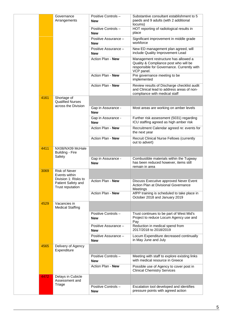|      | Governance<br>Arrangements                                    | Positive Controls-<br><b>New</b>   | Substantive consultant establishment to 5<br>paeds and 9 adults (with 2 additional<br>locums)                                             |
|------|---------------------------------------------------------------|------------------------------------|-------------------------------------------------------------------------------------------------------------------------------------------|
|      |                                                               | Positive Controls -<br><b>New</b>  | HOT reporting of radiological results in<br>place                                                                                         |
|      |                                                               | Positive Assurance -<br><b>New</b> | Significant improvement in middle grade<br>workforce                                                                                      |
|      |                                                               | Positive Assurance -<br><b>New</b> | New ED management plan agreed, will<br>include Quality Improvement Lead                                                                   |
|      |                                                               | Action Plan - New                  | Management restructure has allowed a<br>Quality & Compliance post who will be<br>responsible for Governance. Currently with<br>VCP panel. |
|      |                                                               | Action Plan - New                  | Pre governance meeting to be<br>implemented                                                                                               |
|      |                                                               | Action Plan - New                  | Review results of Discharge checklist audit<br>and Clinical lead to address areas of non-<br>compliance with medical staff                |
| 4161 | Shortage of<br><b>Qualified Nurses</b>                        |                                    |                                                                                                                                           |
|      | across the Division                                           | Gap in Assurance -<br><b>New</b>   | Most areas are working on amber levels                                                                                                    |
|      |                                                               | Gap in Assurance -<br><b>New</b>   | Further risk assessment (5031) regarding<br>ICU staffing agreed as high amber risk                                                        |
|      |                                                               | Action Plan - New                  | Recruitment Calendar agreed re: events for<br>the next year                                                                               |
|      |                                                               | Action Plan - New                  | Recruit Clinical Nurse Fellows (currently<br>out to advert)                                                                               |
| 4411 | NX08/NX09 McHale<br><b>Building - Fire</b>                    |                                    |                                                                                                                                           |
|      | Safety                                                        | Gap in Assurance -<br><b>New</b>   | Combustible materials within the Tugway<br>has been reduced however, items still<br>remain in area                                        |
| 3069 | <b>Risk of Never</b><br>Events within<br>Division 1: Risks to |                                    |                                                                                                                                           |
|      | Patient Safety and<br><b>Trust reputation</b>                 | Action Plan - New                  | Discuss Executive approved Never Event<br>Action Plan at Divisional Governance<br>Meetings                                                |
|      |                                                               | Action Plan - New                  | AfPP training is scheduled to take place in<br>October 2018 and January 2019                                                              |
| 4529 | Vacancies in<br><b>Medical Staffing</b>                       |                                    |                                                                                                                                           |
|      |                                                               | Positive Controls-<br><b>New</b>   | Trust continues to be part of West Mid's<br>Project to reduce Locum Agency use and<br>Pay                                                 |
|      |                                                               | Positive Assurance -<br><b>New</b> | Reduction in medical spend from<br>2017/2018 to 2018/2019                                                                                 |
|      |                                                               | Positive Assurance -<br><b>New</b> | Locum Expenditure decreased continually<br>in May June and July                                                                           |
| 4565 | Delivery of Agency<br>Expenditure                             |                                    |                                                                                                                                           |
|      |                                                               | Positive Controls-<br><b>New</b>   | Meeting with staff to explore existing links<br>with medical resource in Greece                                                           |
|      |                                                               | Action Plan - New                  | Possible use of Agency to cover post in<br><b>Clinical Chemistry Services</b>                                                             |
| 4472 | Delays in Cubicle<br>Assessment and<br>Triage                 |                                    |                                                                                                                                           |
|      |                                                               | Positive Controls-<br><b>New</b>   | Escalation tool developed and identifies<br>pressure points with agreed action                                                            |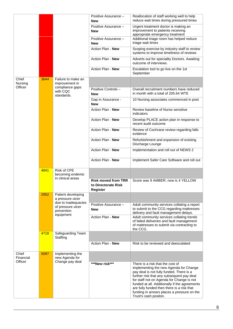|                               |      |                                                               | Positive Assurance -<br><b>New</b>                            | Reallocation of staff working well to help<br>reduce wait times during pressured times                                                                                                                                                                                                                                                                                                  |
|-------------------------------|------|---------------------------------------------------------------|---------------------------------------------------------------|-----------------------------------------------------------------------------------------------------------------------------------------------------------------------------------------------------------------------------------------------------------------------------------------------------------------------------------------------------------------------------------------|
|                               |      |                                                               | Positive Assurance -<br><b>New</b>                            | Urgent treatment doctor is making an<br>improvement to patients receiving<br>appropriate emergency treatment                                                                                                                                                                                                                                                                            |
|                               |      |                                                               | Positive Assurance -<br><b>New</b>                            | Additional triage room has helped reduce<br>triage wait times                                                                                                                                                                                                                                                                                                                           |
|                               |      |                                                               | Action Plan - New                                             | Scoping exercise by industry staff to review<br>systems to improve timeliness of reviews                                                                                                                                                                                                                                                                                                |
|                               |      |                                                               | Action Plan - New                                             | Adverts out for speciality Doctors. Awaiting<br>outcome of interviews.                                                                                                                                                                                                                                                                                                                  |
|                               |      |                                                               | Action Plan - New                                             | Escalation tool to go live on the 1st<br>September                                                                                                                                                                                                                                                                                                                                      |
| Chief<br>Nursing<br>Officer   | 3644 | Failure to make an<br>improvement in                          |                                                               |                                                                                                                                                                                                                                                                                                                                                                                         |
|                               |      | compliance gaps<br>with CQC<br>standards.                     | Positive Controls -<br><b>New</b>                             | Overall recruitment numbers have reduced<br>in month with a total of 205.64 WTE                                                                                                                                                                                                                                                                                                         |
|                               |      |                                                               | Gap in Assurance -<br><b>New</b>                              | 10 Nursing associates commenced in post                                                                                                                                                                                                                                                                                                                                                 |
|                               |      |                                                               | Action Plan - New                                             | Review baseline of Nurse sensitive<br>indicators                                                                                                                                                                                                                                                                                                                                        |
|                               |      |                                                               | Action Plan - New                                             | Develop PLACE action plan in response to<br>recent audit outcome                                                                                                                                                                                                                                                                                                                        |
|                               |      |                                                               | Action Plan - New                                             | Review of Cochrane review regarding falls<br>evidence                                                                                                                                                                                                                                                                                                                                   |
|                               |      |                                                               | Action Plan - New                                             | Refurbishment and expansion of existing<br>Discharge Lounge                                                                                                                                                                                                                                                                                                                             |
|                               |      |                                                               | Action Plan - New                                             | Implementation and roll out of NEWS 2                                                                                                                                                                                                                                                                                                                                                   |
|                               |      |                                                               | Action Plan - New                                             | Implement Safer Care Software and roll out                                                                                                                                                                                                                                                                                                                                              |
|                               | 4841 | Risk of CPE<br>becoming endemic                               |                                                               |                                                                                                                                                                                                                                                                                                                                                                                         |
|                               |      | in clinical areas                                             | <b>Risk moved from TRR</b><br>to Directorate Risk<br>Register | Score was 9 AMBER; now is 4 YELLOW                                                                                                                                                                                                                                                                                                                                                      |
|                               | 2952 | Patient developing<br>a pressure ulcer<br>due to inadequacies |                                                               |                                                                                                                                                                                                                                                                                                                                                                                         |
|                               |      | of pressure ulcer<br>prevention                               | Positive Assurance -<br><b>New</b>                            | Adult community services collating a report<br>to submit to the CCG regarding mattresses<br>delivery and fault management delays.                                                                                                                                                                                                                                                       |
|                               |      | equipment                                                     | Action Plan - New                                             | Adult community services collating trends<br>of failed deliveries and fault management<br>of mattresses to submit via contracting to<br>the CCG.                                                                                                                                                                                                                                        |
|                               | 4718 | Safeguarding Team<br>Staffing                                 |                                                               |                                                                                                                                                                                                                                                                                                                                                                                         |
|                               |      |                                                               | Action Plan - New                                             | Risk to be reviewed and deescalated                                                                                                                                                                                                                                                                                                                                                     |
| Chief<br>Financial<br>Officer | 5097 | Implementing the<br>new Agenda for<br>Change pay deal         |                                                               |                                                                                                                                                                                                                                                                                                                                                                                         |
|                               |      |                                                               | ***New risk***                                                | There is a risk that the cost of<br>implementing the new Agenda for Change<br>pay deal is not fully funded. There is a<br>further risk that any subsequent pay deal<br>for staff not on Agenda for Change is not<br>funded at all. Additionally if the agreements<br>are fully funded then there is a risk that<br>funding in arrears places a pressure on the<br>Trust's cash positon. |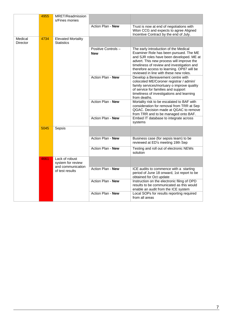|                            | 4955 | MRET/Readmission<br>s/Fines monies             |                                   |                                                                                                                                                                                                                                                                                                                |
|----------------------------|------|------------------------------------------------|-----------------------------------|----------------------------------------------------------------------------------------------------------------------------------------------------------------------------------------------------------------------------------------------------------------------------------------------------------------|
|                            |      |                                                | Action Plan - New                 | Trust is now at end of negotiations with<br>Wton CCG and expects to agree Aligned<br>Incentive Contract by the end of July.                                                                                                                                                                                    |
| Medical<br><b>Director</b> | 4734 | <b>Elevated Mortality</b><br><b>Statistics</b> |                                   |                                                                                                                                                                                                                                                                                                                |
|                            |      |                                                | Positive Controls -<br><b>New</b> | The early introduction of the Medical<br>Examiner Role has been pursued. The ME<br>and SJR roles have been developed. ME at<br>advert. This new process will improve the<br>timeliness of review and investigation and<br>therefore access to learning. OP87 will be<br>reviewed in line with these new roles. |
|                            |      |                                                | Action Plan - New                 | Develop a Bereavement centre with<br>colocoted ME/Coroner registrar / admin/<br>family services/mortuary o improve quality<br>of service for families and support<br>timeliness of investigations and learning<br>from deaths.                                                                                 |
|                            |      |                                                | Action Plan - New                 | Mortality risk to be escalated to BAF with<br>consideration for removal from TRR at Sep<br>QGAC. Decision made at QGAC to remove<br>from TRR and to be managed onto BAF.                                                                                                                                       |
|                            |      |                                                | Action Plan - New                 | Embed IT database to integrate across<br>systems                                                                                                                                                                                                                                                               |
|                            | 5045 | Sepsis                                         |                                   |                                                                                                                                                                                                                                                                                                                |
|                            |      |                                                | Action Plan - New                 | Business case (for sepsis team) to be<br>reviewed at ED's meeting 19th Sep                                                                                                                                                                                                                                     |
|                            |      |                                                | Action Plan - New                 | Testing and roll out of electronic NEWs<br>solution                                                                                                                                                                                                                                                            |
|                            | 4661 | Lack of robust<br>system for review            |                                   |                                                                                                                                                                                                                                                                                                                |
|                            |      | and communication<br>of test results           | Action Plan - New                 | ICE audits to commence with a starting<br>period of June 18 onward, 1st report to be<br>obtained for Oct update                                                                                                                                                                                                |
|                            |      |                                                | Action Plan - New                 | Instruction on the electronic filing of OPD<br>results to be communicated as this would<br>enable an audit from the ICE system                                                                                                                                                                                 |
|                            |      |                                                | Action Plan - New                 | Local SOPs for results reporting required<br>from all areas                                                                                                                                                                                                                                                    |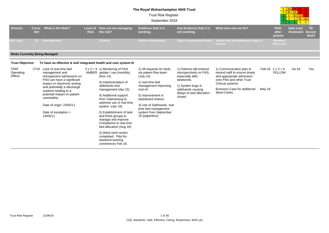#### **The Royal Wolverhampton NHS Trust**

Trust Risk Register

September-2018

| 5 | 10 | G   | 20  |    |
|---|----|-----|-----|----|
|   | 8  | 12. | 16. | 20 |
|   | ิล | ۹   | 12. | ◆  |
|   |    | 6   | R   |    |
|   |    |     |     | 5  |

| <b>Director</b>                       | <b>Cross</b><br>Ref                                                                             | What is the Risk?                                                                                                                                                   | Level of<br><b>Risk</b>                                                                                                       | <b>How are we managing</b><br>the risk?                                                                                                           | <b>Evidence that it is</b><br>working.                                                                                | Any Evidence that it is<br>not working.                                                                                         | What else can we do?                                                                                                                                                          |        | <b>Risk</b><br>after<br>actions          | <b>Date Last</b><br><b>Reviewed</b> | <b>TB</b><br><b>Accept</b><br>Risk? |  |
|---------------------------------------|-------------------------------------------------------------------------------------------------|---------------------------------------------------------------------------------------------------------------------------------------------------------------------|-------------------------------------------------------------------------------------------------------------------------------|---------------------------------------------------------------------------------------------------------------------------------------------------|-----------------------------------------------------------------------------------------------------------------------|---------------------------------------------------------------------------------------------------------------------------------|-------------------------------------------------------------------------------------------------------------------------------------------------------------------------------|--------|------------------------------------------|-------------------------------------|-------------------------------------|--|
| <b>Risk Lead</b>                      | ID.                                                                                             | <b>Principal Risk</b>                                                                                                                                               |                                                                                                                               | <b>Controls</b>                                                                                                                                   | <b>Positive Assurances</b>                                                                                            | <b>Gaps in Assurance/Control</b>                                                                                                | <b>Action Plan that addresses Gaps in</b><br>Control                                                                                                                          |        | <b>Residual</b><br><b>Risk Level</b>     |                                     |                                     |  |
| <b>Risks Currently Being Managed</b>  |                                                                                                 |                                                                                                                                                                     |                                                                                                                               |                                                                                                                                                   |                                                                                                                       |                                                                                                                                 |                                                                                                                                                                               |        |                                          |                                     |                                     |  |
| <b>Trust Objective:</b>               |                                                                                                 | To have an effective & well integrated health and care system th                                                                                                    |                                                                                                                               |                                                                                                                                                   |                                                                                                                       |                                                                                                                                 |                                                                                                                                                                               |        |                                          |                                     |                                     |  |
| Chief<br>2719<br>Operating<br>Officer |                                                                                                 | Lack of real time bed<br>management and<br>retrospective admissions on<br>PAS can have a significant<br>impact on electronic testing<br>and potentially e-discharge |                                                                                                                               | $3 \times 3 = 9$ 1) Monitoring of PAS<br>AMBER update / use (monthly)<br>(Nov 14)<br>3) Implementation of<br>safehands bed<br>management (Apr 15) | 1) All requests for beds<br>via patient flow team<br>(July 15)<br>1) real time bed<br>management improving<br>mon-fri | 1) Patients still entered<br>retrospectively on PAS,<br>especially after<br>weekends.<br>1) System bugs in<br>safehands causing | 1) Communication plan to<br>remind staff to ensure timely<br>and appropriate admission<br>onto PAS and other Trust<br>Clinical systems<br><b>Business Case for additional</b> | May-18 | Feb-18 $2 \times 3 = 6$<br><b>YELLOW</b> | <b>Jul-18</b>                       | Yes                                 |  |
|                                       | systems leading to a<br>potential impact on patient<br>care/safety.<br>Date of origin: 23/05/11 |                                                                                                                                                                     | 4) Additional support<br>from Teletracking to<br>optimise use of real time<br>system - (Jan 16)                               | 5) Improvement in<br>dashboard metrics<br>3) Use of Safehands, real<br>time bed management                                                        | delays to bed allocation -<br>closed                                                                                  | Ward Clerks.                                                                                                                    |                                                                                                                                                                               |        |                                          |                                     |                                     |  |
|                                       |                                                                                                 | Date of escalation $=$<br>24/05/11                                                                                                                                  | 5) Establishment of task<br>and finish groups to<br>manage and improve.<br>Compliance to real time<br>bed allocation (Aug 16) | system from September<br>16 (paperless).                                                                                                          |                                                                                                                       |                                                                                                                                 |                                                                                                                                                                               |        |                                          |                                     |                                     |  |
|                                       |                                                                                                 |                                                                                                                                                                     |                                                                                                                               | 2) Ward clerk review<br>completed. Pilot for<br>weekend working<br>commences Feb 18.                                                              |                                                                                                                       |                                                                                                                                 |                                                                                                                                                                               |        |                                          |                                     |                                     |  |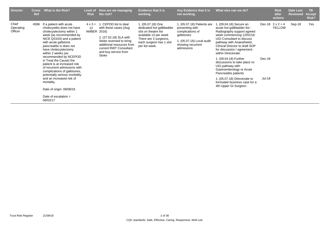| <b>Director</b>               | <b>Cross</b><br><b>Ref</b> | What is the Risk?                                                                                                                                                                                                                                                                                                                                                                                                                                                                                                                             | <b>Risk</b>                   | Level of How are we managing<br>the risk?                                                                                                                                                           | <b>Evidence that it is</b><br>working.                                                                                                                                | Any Evidence that it is<br>not working.                                                                                                         | What else can we do?                                                                                                                                                                                                                                                                                                                                                                                                                                                                              |                  | <b>Risk</b><br>after<br>actions          | <b>Date Last</b><br><b>Reviewed</b> | TB.<br><b>Accept</b><br>Risk? |
|-------------------------------|----------------------------|-----------------------------------------------------------------------------------------------------------------------------------------------------------------------------------------------------------------------------------------------------------------------------------------------------------------------------------------------------------------------------------------------------------------------------------------------------------------------------------------------------------------------------------------------|-------------------------------|-----------------------------------------------------------------------------------------------------------------------------------------------------------------------------------------------------|-----------------------------------------------------------------------------------------------------------------------------------------------------------------------|-------------------------------------------------------------------------------------------------------------------------------------------------|---------------------------------------------------------------------------------------------------------------------------------------------------------------------------------------------------------------------------------------------------------------------------------------------------------------------------------------------------------------------------------------------------------------------------------------------------------------------------------------------------|------------------|------------------------------------------|-------------------------------------|-------------------------------|
| Chief<br>Operating<br>Officer | 4596                       | If a patient with acute<br>cholecystitis does not have<br>cholecystectomy within 1<br>week (as recommended by<br>NICE QS104) and a patient<br>with acute gallstone<br>pancreatitis is does not<br>have cholecystectomy<br>within 2 weeks (as<br>recommended by NCEPOD<br>in Treat the Cause) the<br>patient is at increased risk<br>of recurrent admissions with<br>complications of gallstones,<br>potentially serious morbidity<br>and an increased risk of<br>mortality.<br>Date of origin: 09/08/16<br>Date of escalation $=$<br>06/02/17 | $4 \times 3 =$<br>12<br>AMBER | . CEPOD list to deal<br>with these cases (Aug<br>2016)<br>2. (27.02.18) SLA with<br>Stoke reversed to bring<br>additional resources from<br>current RWT Consultant<br>and buy service from<br>Stoke | 1. (05.07.18) One<br>dedicated hot gallbladder<br>slot on theatre list<br>available x3 per week<br>There are 3 surgeons,<br>each surgeon has 1 slot<br>per list week. | 1. (05.07.18) Patients are<br>presenting with<br>complications of<br>gallstones<br>1. (05.07.18) Local audit<br>showing recurrent<br>admissions | . (09.04.18) Secure an<br>acute hot gallbladder list -<br>Radiography support agreed<br>week commencing 12/02/18.<br>UGI Consultant to discuss<br>pathway with Anaesthetist.<br>Clinical Director to draft SOP<br>for discussion / agreement<br>within Directorate.<br>1. (09.04.18) Further<br>discussions to take place re:<br>UGI pathway with<br>Gastroenterology re Acute<br>Pancreatitis patients<br>1. (05.07.18) Directorate to<br>formulate business case for a<br>4th Upper GI Surgeon. | Dec-18<br>Jul-18 | Dec-18 $2 \times 2 = 4$<br><b>YELLOW</b> | Sep-18                              | Yes                           |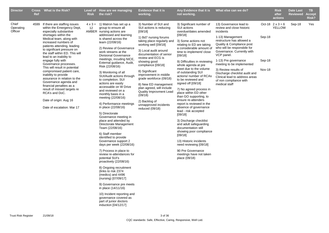| <b>Director</b>               | <b>Cross</b><br><b>Ref</b> | What is the Risk?                                                                                                                                                                                                                                                                                                                                                                                                                                                                                                                                                                                                            | <b>Risk</b> | Level of How are we managing<br>the risk?                                                                                                                                                                                                                                                                                                                                                                                                                                                                                                                                                                                                                                                                                                                                                                                                                                                                                                                                                                                                                                                                                                                 | <b>Evidence that it is</b><br>working.                                                                                                                                                                                                                                                                                                                                                                                                                                                        | Any Evidence that it is<br>not working.                                                                                                                                                                                                                                                                                                                                                                                                                                                                                                                                                                                                                                                                                                                                                                              | What else can we do?                                                                                                                                                                                                                                                                                                                                                                                                 |                                   | <b>Risk</b><br>after<br>actions          | <b>Date Last</b><br><b>Reviewed</b> | TB.<br><b>Accept</b><br>Risk? |
|-------------------------------|----------------------------|------------------------------------------------------------------------------------------------------------------------------------------------------------------------------------------------------------------------------------------------------------------------------------------------------------------------------------------------------------------------------------------------------------------------------------------------------------------------------------------------------------------------------------------------------------------------------------------------------------------------------|-------------|-----------------------------------------------------------------------------------------------------------------------------------------------------------------------------------------------------------------------------------------------------------------------------------------------------------------------------------------------------------------------------------------------------------------------------------------------------------------------------------------------------------------------------------------------------------------------------------------------------------------------------------------------------------------------------------------------------------------------------------------------------------------------------------------------------------------------------------------------------------------------------------------------------------------------------------------------------------------------------------------------------------------------------------------------------------------------------------------------------------------------------------------------------------|-----------------------------------------------------------------------------------------------------------------------------------------------------------------------------------------------------------------------------------------------------------------------------------------------------------------------------------------------------------------------------------------------------------------------------------------------------------------------------------------------|----------------------------------------------------------------------------------------------------------------------------------------------------------------------------------------------------------------------------------------------------------------------------------------------------------------------------------------------------------------------------------------------------------------------------------------------------------------------------------------------------------------------------------------------------------------------------------------------------------------------------------------------------------------------------------------------------------------------------------------------------------------------------------------------------------------------|----------------------------------------------------------------------------------------------------------------------------------------------------------------------------------------------------------------------------------------------------------------------------------------------------------------------------------------------------------------------------------------------------------------------|-----------------------------------|------------------------------------------|-------------------------------------|-------------------------------|
| Chief<br>Operating<br>Officer | 4599                       | If there are staffing issues<br>within the Emergency Dept,<br>especially substantive<br>shortages within the<br>Medical team, along with<br>increased numbers of<br>patients attending, leading<br>to significant pressure on<br>the staff within ED. This will<br>lead to an inability to<br>engage fully with<br>Governance processes.<br>This will result in potential<br>compromised patient care,<br>inability to provide<br>assurance in relation to the<br>Governance agenda and<br>financial penalties as a<br>result of missed targets re<br>RCA's and DoC.<br>Date of origin: Aug 16<br>Date of escalation: Mar 17 | 12          | $4 \times 3 = 1$ ) Matron has set up a<br>group to ensure all<br>AMBER nursing actions are<br>addressed and learning<br>is shared across the<br>team (22/08/16)<br>2) Review of Governance<br>work streams at the<br><b>Divisional Governance</b><br>meetings, incuding NICE,<br>External guidance, Audit,<br>Risk (22/08/16)<br>3) Monitoring of all<br>SUI/Audit actions through<br>to completion. SUI<br>actions are easily<br>accessable on W Drive<br>and reviewed on a<br>monthly basis in a<br>meeting (22/08/16)<br>4) Performance meetings<br>in place (22/08/16)<br>5) Directorate<br>Governance meeting in<br>place and attended by<br>Directorate Management<br>Team (22/08/16)<br>6) Staff member<br>identified to provide<br>Governance support 2<br>days per week (22/08/16)<br>7) Process in place to<br>review re-attendances for<br>potential SUI's<br>proactively (22/08/16)<br>8) Ongoing recruitment<br>(links to risk 2374)<br>(medics) and 4496<br>(nursing) [07/09/17]<br>9) Governance pre meets<br>in place (14/11/16)<br>10) Incident reporting and<br>governance covered as<br>part of junior doctors<br>induction [04/12/17] | 3) Number of SUI and<br>SUI actions is reducing<br>[09/18]<br>1) Bd7 nursing forums<br>taking place regularly and<br>working well [09/18]<br>3) Local audit around<br>documentation of senior<br>review and ECG is<br>showing good<br>compliance [09/18]<br>8) Significant<br>improvement in middle<br>grade workforce (09/18)<br>8) New ED management<br>plan agreed, will include<br><b>Quality Improvment Lead</b><br>(09/18)<br>2) Backlog of<br>unnapproved incidents<br>reduced (09/18) | 3) Significant number of<br>SUI actions<br>overdue/dates amended<br>[09/18]<br>3) Some actions not<br>relating to ED are taking<br>a considerable amount of<br>time to implement/ close<br>[09/18]<br>9) Difficulties in reviewing<br>whole agenda at pre<br>meet due to the volume<br>of outstanding SUI<br>actions/ number of RCAs<br>to be reviewed and<br>signed off [09/18]<br>7) No agreed process in<br>place within ED other<br>than GO supporting, to<br>ensure re-attenders<br>report is reviewed in the<br>absence of governance<br>lead - risk accepted<br>[09/18]<br>3) Discharge checklist<br>and adult safeguarding<br>documentation still<br>showing poor compliance<br>[09/18]<br>13) Historic incidents<br>need reviewing [09/18]<br>90 Pre Governance<br>meetings have not taken<br>place (09/18) | 13) Governance lead to<br>review and close historic<br>incidents<br>1-13) Management<br>restructure has allowed a<br>Quality & Compliance post<br>who will be responsbile for<br>Governance. Currently with<br>VCP panel.<br>1-13) Pre governance<br>meeting to be implemented<br>3) Review results of<br>Discharge checklist audit and<br>Clinical lead to address areas<br>of non compliance with<br>medical staff | Sep-18<br>Sep-18<br><b>Nov-18</b> | Oct-18 $2 \times 3 = 6$<br><b>YELLOW</b> | Sep-18                              | Yes                           |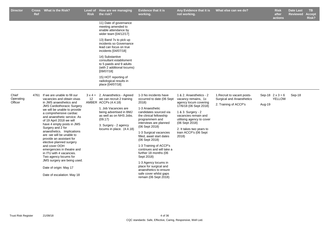| <b>Director</b>               | <b>Cross</b><br><b>Ref</b> | <b>What is the Risk?</b>                                                                                                                                                                                                                 | <b>Risk</b> | Level of How are we managing<br>the risk?                                                                         | <b>Evidence that it is</b><br>working.                                                                                             | Any Evidence that it is<br>not working.                                                                             | What else can we do?                                            |        | <b>Risk</b><br>after<br>actions          | <b>Date Last</b><br><b>Reviewed</b> | TB.<br><b>Accept</b><br>Risk? |
|-------------------------------|----------------------------|------------------------------------------------------------------------------------------------------------------------------------------------------------------------------------------------------------------------------------------|-------------|-------------------------------------------------------------------------------------------------------------------|------------------------------------------------------------------------------------------------------------------------------------|---------------------------------------------------------------------------------------------------------------------|-----------------------------------------------------------------|--------|------------------------------------------|-------------------------------------|-------------------------------|
|                               |                            |                                                                                                                                                                                                                                          |             | 11) Date of governance<br>meeting amended to<br>enable attendance by<br>wider team [04/12/17]                     |                                                                                                                                    |                                                                                                                     |                                                                 |        |                                          |                                     |                               |
|                               |                            |                                                                                                                                                                                                                                          |             | 13) Band 7s to pick up<br>incidents so Governance<br>lead can focus on true<br>incidents [04/07/18]               |                                                                                                                                    |                                                                                                                     |                                                                 |        |                                          |                                     |                               |
|                               |                            |                                                                                                                                                                                                                                          |             | 14) Substantive<br>consultant establisment<br>to 5 paeds and 9 adults<br>(with 2 additional locums)<br>[09/07/18] |                                                                                                                                    |                                                                                                                     |                                                                 |        |                                          |                                     |                               |
|                               |                            |                                                                                                                                                                                                                                          |             | 15) HOT reporting of<br>radiological results in<br>place [04/07/18]                                               |                                                                                                                                    |                                                                                                                     |                                                                 |        |                                          |                                     |                               |
| Chief<br>Operating<br>Officer | 4761                       | If we are unable to fill our<br>vacancies and obtain visas<br>in JMS anaesthetics and                                                                                                                                                    | 12          | $3 \times 4 = 2$ . Anaesthetics - Agreed<br>we can recruit 2 training<br>AMBER ACCPs (4.4.18)                     | 1-3 No incidents have<br>occurred to date (06 Sept<br>2018)                                                                        | 1 & 2. Anaesthetics - 2<br>vacancy remains, 1x<br>agency locum covering                                             | 1. Recruit to vacant posts-<br><b>Surgical and Anaesthetics</b> |        | Sep-18 $2 \times 3 = 6$<br><b>YELLOW</b> | Sep-18                              |                               |
|                               |                            | <b>JMS Cardiothoracic Surgery</b><br>we will be unable to provide<br>a comprehensive cardiac<br>and anaesthetic service. As<br>of 19 April 2018 we will<br>have 4 empty posts in JMS                                                     |             | 1. Job Vacancies are<br>being advertised in BMJ<br>as well as on NHS Jobs.<br>(09.17)<br>3. Surgery - 2 agency    | 1-3 Anaesthetic<br>candidates sourced via<br>the clinical fellowship<br>programmem and<br>interviews are planned<br>(06 Sept 2018) | 17/6/18 (06 Sept 2018)<br>1 & 3. Surgery - 2<br>vacancies remain and<br>utilising agency to cover<br>(06 Sept 2018) | 2. Training of ACCP's                                           | Aug-19 |                                          |                                     |                               |
|                               |                            | Surgery and 2 for<br>anaesthetics. Implications<br>are -we will be unable to<br>provide an assistant for<br>elective planned surgery<br>and cover OOH<br>emergencies in theatre and<br>in ITU with 4 vacancies.<br>Two agency locums for |             | locums in place. (4.4.18)                                                                                         | 1-3 Surgical vacancies<br>filled, await start dates<br>(06 Sept 2018)                                                              | 2. It takes two years to<br>train ACCP's (06 Sept<br>2018)                                                          |                                                                 |        |                                          |                                     |                               |
|                               |                            |                                                                                                                                                                                                                                          |             | 1-3 Training of ACCP's<br>continues and will take a<br>further 18 months (06<br>Sept 2018)                        |                                                                                                                                    |                                                                                                                     |                                                                 |        |                                          |                                     |                               |
|                               |                            | JMS surgery are being used.<br>Date of origin: May 17                                                                                                                                                                                    |             |                                                                                                                   | 1-3 Agency locums in<br>place for surgical and<br>anaesthetics to ensure                                                           |                                                                                                                     |                                                                 |        |                                          |                                     |                               |
|                               |                            | Date of escalation: May 18                                                                                                                                                                                                               |             |                                                                                                                   | safe cover whilst gaps<br>remain (06 Sept 2018)                                                                                    |                                                                                                                     |                                                                 |        |                                          |                                     |                               |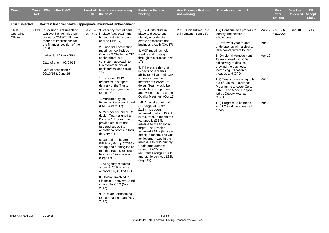| <b>Director</b>               | Cross<br><b>Ref</b> | <b>What is the Risk?</b>                                                                                                                                                                                                                                                   | <b>Risk</b> | Level of How are we managing<br>the risk?                                                                                                                                                                                                                                                                                                                                                                                                                                                                                                                                                                                                                    | <b>Evidence that it is</b><br>working.                                                                                                                                                                                                                                                                                                                                                                                                                         | Any Evidence that it is<br>not working.             | What else can we do?                                                                                                                                                                                                                                                                                                                                                                                                                            |                            | <b>Risk</b><br>after<br>actions          | <b>Date Last</b><br><b>Reviewed</b> | <b>TB</b><br>Accept<br>Risk? |
|-------------------------------|---------------------|----------------------------------------------------------------------------------------------------------------------------------------------------------------------------------------------------------------------------------------------------------------------------|-------------|--------------------------------------------------------------------------------------------------------------------------------------------------------------------------------------------------------------------------------------------------------------------------------------------------------------------------------------------------------------------------------------------------------------------------------------------------------------------------------------------------------------------------------------------------------------------------------------------------------------------------------------------------------------|----------------------------------------------------------------------------------------------------------------------------------------------------------------------------------------------------------------------------------------------------------------------------------------------------------------------------------------------------------------------------------------------------------------------------------------------------------------|-----------------------------------------------------|-------------------------------------------------------------------------------------------------------------------------------------------------------------------------------------------------------------------------------------------------------------------------------------------------------------------------------------------------------------------------------------------------------------------------------------------------|----------------------------|------------------------------------------|-------------------------------------|------------------------------|
| <b>Trust Objective:</b>       |                     | Maintain financial health - appropriate investment enhancement                                                                                                                                                                                                             |             |                                                                                                                                                                                                                                                                                                                                                                                                                                                                                                                                                                                                                                                              |                                                                                                                                                                                                                                                                                                                                                                                                                                                                |                                                     |                                                                                                                                                                                                                                                                                                                                                                                                                                                 |                            |                                          |                                     |                              |
| Chief<br>Operating<br>Officer |                     | 4113 If Division 1 are unable to<br>achieve the identified CIP<br>target for 2018/2019 then<br>there are implications for<br>the financial position of the<br>Trust<br>Linked to BAF risk SR8.<br>Date of origin: 07/04/15<br>Date of escalation $=$<br>09/10/15 & June 16 |             | $4 \times 5 = 3$ . Vacancy control panel<br>20 RED in place (Oct 2015) and<br>higher restrictions being<br>applied (Jan 17)<br>2. Financial Forecasting<br>meetings now include<br>Confirm & Challenge CIP<br>so that there is a<br>consistent approach to<br>Directorate financial<br>position/challenge (Sept<br>17)<br>1. Increased PMO<br>resources to support<br>delivery of the Trusts<br>efficiency programme                                                                                                                                                                                                                                         | 2, 3 & 4. Structure in<br>place to discuss and<br>identify opportunities to<br>create efficiencies and<br>business growth (Oct 17)<br>3. VCP meetings held<br>weekly and posts go<br>through this process (Oct<br>17)<br>5. If there is a risk that<br>impacts on a team's<br>ability to deliver their CIP<br>schemes then the<br>member of Service Re-<br>deisgn Team would be<br>available to support as<br>and when required at the                         | 2 & 3. Unidentified CIP<br>still remains (Sept 18). | 1-9) Continue with process to<br>identify and deliver<br>efficiencies<br>2) Review of year to date<br>underspends with a view to<br>take non-recurrent to CIP<br>1) Divisional Management<br>Team to meet with CDs<br>collectively to discuss<br>growing the business,<br>increasing utilisation of<br>theatres and OPD<br>1-9) Trust commencing roll-<br>out of Clinical Excellence<br>Programme to cover Carter,<br>GIRFT and Model Hospital, | Mar-19<br>Mar-19<br>Mar-19 | Mar-19 $2 \times 3 = 6$<br><b>YELLOW</b> | Sep-18                              | Yes                          |
|                               |                     |                                                                                                                                                                                                                                                                            |             | (June 16)<br>4. Monitored by the<br>Financial Recovery Board<br>(FRB) (Oct 2017)<br>5. Member of Service Re-<br>design Team aligned to<br>Division 1 Programme to<br>provide structure and<br>targeted support to<br>operational teams in their<br>delivery of CIP<br>6. Operating Theatre<br>Efficiency Group (OTEG)<br>set-up and running for 12<br>months. Each Directorate<br>has 'Local' sub-groups<br>(Sept 17)<br>7. All agency requests<br>above £120 P.H to be<br>approved by COO/CEO<br>8. Division involved in<br><b>Financial Recovery Board</b><br>chaired by CEO (Nov<br>2017)<br>9. PIDs are forthcoming<br>to the Finance team (Nov<br>2017) | Quality Meetings. (Oct 17)<br>1-9. Against an annual<br>CIP target of £9.9m,<br>£1.1m has been<br>achieved of which £721k<br>is recurrent. In month the<br>variance is £364k<br>adverse to the financial<br>target. The Division<br>achieved £484k (full year<br>effect) in month. The CIP<br>achievement was in the<br>main due to NHS Supply<br>Chain procurement<br>savings £207k, non<br>recurrent savings £150k<br>and sterile services £65k<br>(Sept 18) |                                                     | led by Deputy Medical<br><b>Director</b><br>1-9) Progress to be made<br>with LOS - drive across all<br>areas                                                                                                                                                                                                                                                                                                                                    | Mar-19                     |                                          |                                     |                              |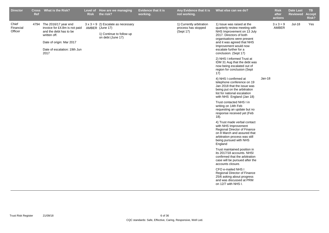| <b>Director</b>               | <b>Ref</b> | Cross What is the Risk?                                                                                                                                             | <b>Risk</b> | Level of How are we managing<br>the risk?                                                                     | Evidence that it is<br>working. | Any Evidence that it is<br>not working.                      | What else can we do?                                                                                                                                                                                                                                         |          | <b>Risk</b><br>after<br>actions | <b>Date Last</b><br><b>Reviewed</b> | TB.<br><b>Accept</b><br>Risk? |
|-------------------------------|------------|---------------------------------------------------------------------------------------------------------------------------------------------------------------------|-------------|---------------------------------------------------------------------------------------------------------------|---------------------------------|--------------------------------------------------------------|--------------------------------------------------------------------------------------------------------------------------------------------------------------------------------------------------------------------------------------------------------------|----------|---------------------------------|-------------------------------------|-------------------------------|
| Chief<br>Financial<br>Officer | 4794       | The 2016/17 year end<br>invoice for £4.8m is not paid<br>and the debt has to be<br>written off.<br>Date of origin: Mar 2017<br>Date of escalation: 19th Jun<br>2017 |             | $3 \times 3 = 9$ 2) Escalate as necessary<br>AMBER (June 17)<br>1) Continue to follow up<br>on debt (June 17) |                                 | 1) Currently arbitration<br>process has stopped<br>(Sept 17) | 1) Issue was raised at the<br>quarterly review meeting with<br>NHS Improvement on 13 July<br>2017. Directors of both<br>organisations were present<br>and it was agreed that NHS<br>Improvement would now<br>escalate further for a<br>conclusion. (Sept 17) |          | $3x3=9$<br>AMBER                | <b>Jul-18</b>                       | Yes                           |
|                               |            |                                                                                                                                                                     |             |                                                                                                               |                                 |                                                              | 2) NHS I informed Trust at<br>IDM 31 Aug that the debt was<br>now being escalated out of<br>region for conclusion (Sept<br>17)                                                                                                                               |          |                                 |                                     |                               |
|                               |            |                                                                                                                                                                     |             |                                                                                                               |                                 |                                                              | 4) NHS I confirmed at<br>telephone conference on 19<br>Jan 2018 that the issue was<br>being put on the arbitration<br>list for national escalation<br>with NHS England (Jan 18)                                                                              | $Jan-18$ |                                 |                                     |                               |
|                               |            |                                                                                                                                                                     |             |                                                                                                               |                                 |                                                              | Trust contacted NHS I in<br>writing on 14th Feb<br>requesting an update but no<br>response received yet (Feb<br>18).                                                                                                                                         |          |                                 |                                     |                               |
|                               |            |                                                                                                                                                                     |             |                                                                                                               |                                 |                                                              | 4) Trust made verbal contact<br>with NHS Improvement<br>Regional Director of Finance<br>on 8 March and assured that<br>arbitration process was still<br>being pursued with NHS<br>England                                                                    |          |                                 |                                     |                               |
|                               |            |                                                                                                                                                                     |             |                                                                                                               |                                 |                                                              | Trust maintained position in<br>its 2017/18 accounts. NHSI<br>confirmed that the arbitration<br>case will be pursued after the<br>accounts closure.                                                                                                          |          |                                 |                                     |                               |
|                               |            |                                                                                                                                                                     |             |                                                                                                               |                                 |                                                              | CFO e-mailed NHS I<br>Regional Director of Finance<br>25/6 asking about progress<br>and was discussed at PRM<br>on 12/7 with NHS I.                                                                                                                          |          |                                 |                                     |                               |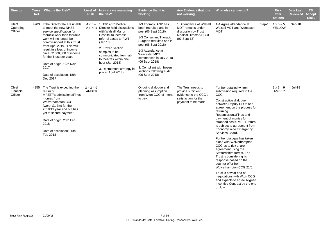| <b>Director</b>               | <b>Ref</b> | Cross What is the Risk?                                                                                                                                                                                                                                                                                                                                                         | <b>Risk</b>                      | Level of How are we managing<br>the risk?                                                                                                                                                                                                                                                                                | <b>Evidence that it is</b><br>working.                                                                                                                                                                                                                                                                         | Any Evidence that it is<br>not working.                                                                          | What else can we do?                                                                                                                                                                                                                                                                                                                                                                                                                                                                                                                                                                                                                                                                                            | <b>Risk</b><br>after<br>actions          | <b>Date Last</b><br><b>Reviewed</b> | <b>TB</b><br><b>Accept</b><br>Risk? |
|-------------------------------|------------|---------------------------------------------------------------------------------------------------------------------------------------------------------------------------------------------------------------------------------------------------------------------------------------------------------------------------------------------------------------------------------|----------------------------------|--------------------------------------------------------------------------------------------------------------------------------------------------------------------------------------------------------------------------------------------------------------------------------------------------------------------------|----------------------------------------------------------------------------------------------------------------------------------------------------------------------------------------------------------------------------------------------------------------------------------------------------------------|------------------------------------------------------------------------------------------------------------------|-----------------------------------------------------------------------------------------------------------------------------------------------------------------------------------------------------------------------------------------------------------------------------------------------------------------------------------------------------------------------------------------------------------------------------------------------------------------------------------------------------------------------------------------------------------------------------------------------------------------------------------------------------------------------------------------------------------------|------------------------------------------|-------------------------------------|-------------------------------------|
| Chief<br>Operating<br>Officer |            | 4903 If the Directorate are unable<br>to meet the new NHSE<br>service specification for<br>thoracic work then thoracic<br>work will no longer be<br>commissioned at this Trust<br>from April 2019. This will<br>result in a loss of income<br>circa £2,000,000 of income<br>for the Trust per year.<br>Date of origin: 16th Nov<br>2017<br>Date of escalation: 18th<br>Dec 2017 |                                  | $4 \times 5 = 1.13/12/17$ Medical<br>20 RED Director held discussions<br>with Walsall Manor<br>Hospital to increase<br>referral cases to RWT<br>(Jan 18)<br>2. Frozen section<br>samples to be<br>communicated from lab<br>to theatres within one<br>hour (Jan 2018)<br>3. Recruitment strategy in<br>place (April 2018) | 1-3 Thoracic ANP has<br>been recruited and in<br>post (06 Sept 2018)<br>1-3 Consultant Thoracic<br>Surgeon recruited and in<br>post (06 Sept 2018)<br>1-3 Attendance at<br>Worcester MDT<br>commenced in July 2018<br>(06 Sept 2018)<br>3. Compliant with frozen<br>sections following audit<br>(06 Sept 2018) | 1. Attendance at Walsall<br>MDT remains under<br>discussion by Trust<br>Medical Director & COO<br>(07 Sept 18)   | 1-4 Agree attendance at<br>Walsall MDT and Worcester<br><b>MDT</b>                                                                                                                                                                                                                                                                                                                                                                                                                                                                                                                                                                                                                                              | Sep-18 $1 \times 5 = 5$<br><b>YELLOW</b> | Sep-18                              |                                     |
| Chief<br>Financial<br>Officer | 4955       | The Trust is expecting the<br>return of<br>MRET/Readmissions/Fines<br>monies from<br>Wolverhampton CCG<br>(worth £1.7m) for the<br>2018/19 year end but has<br>yet to secure payment.<br>Date of origin: 20th Feb<br>2018<br>Date of escalation: 20th<br>Feb 2018                                                                                                               | $3 \times 3 = 9$<br><b>AMBER</b> |                                                                                                                                                                                                                                                                                                                          | Ongoing dialogue and<br>planning assumption<br>from Wton CCG of intent<br>to pay.                                                                                                                                                                                                                              | The Trust needs to<br>provide sufficient<br>evidence to the CCG's<br>satisfaction for the<br>payment to be made. | Further detailed written<br>submission required to the<br>CCG.<br>Constructive dialogue<br>between Deputy CFOs and<br>agreement on the process for<br>returning<br>Readmissions/Fines and<br>payment of monies for<br>stranded costs. MRET return<br>is subject to agreement from<br>Economy wide Emergency<br>Services Board.<br>Further dialogue has taken<br>place with Wolverhampton<br>CCG as to risk share<br>agreement using the<br>Staffordshire format. The<br>Trust is considering its<br>response based on the<br>counter offer from<br>Wolverhampton CCG 21/5.<br>Trust is now at end of<br>negotiations with Wton CCG<br>and expects to agree Aligned<br>Incentive Contract by the end<br>of July. | $3 \times 3 = 9$<br>AMBER                | Jul-18                              |                                     |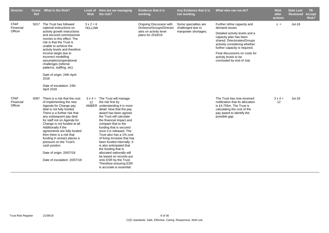| <b>Director</b>               | <b>Cross</b><br><b>Ref</b> | What is the Risk?                                                                                                                                                                                                                                                                                                                                                                                                                                                       | <b>Risk</b>              | Level of How are we managing<br>the risk?                                                                                                                                                                                                                                                                                                                                                                                                                                                                                                                                   | <b>Evidence that it is</b><br>working.               | Any Evidence that it is<br>not working.   | What else can we do?                                                                                                                                                    | <b>Risk</b><br>after<br>actions | <b>Date Last</b><br><b>Reviewed</b> | <b>TB</b><br><b>Accept</b><br>Risk? |
|-------------------------------|----------------------------|-------------------------------------------------------------------------------------------------------------------------------------------------------------------------------------------------------------------------------------------------------------------------------------------------------------------------------------------------------------------------------------------------------------------------------------------------------------------------|--------------------------|-----------------------------------------------------------------------------------------------------------------------------------------------------------------------------------------------------------------------------------------------------------------------------------------------------------------------------------------------------------------------------------------------------------------------------------------------------------------------------------------------------------------------------------------------------------------------------|------------------------------------------------------|-------------------------------------------|-------------------------------------------------------------------------------------------------------------------------------------------------------------------------|---------------------------------|-------------------------------------|-------------------------------------|
| Chief<br>Financial            |                            | 5017 The Trust has followed<br>national instructions on                                                                                                                                                                                                                                                                                                                                                                                                                 | $3x2=6$<br><b>YELLOW</b> |                                                                                                                                                                                                                                                                                                                                                                                                                                                                                                                                                                             | Ongoing Discussion with<br>Divisions/Groups/Director | Some specialties are<br>challenged due to | Further refine capacity and<br>demand issues                                                                                                                            | $x =$                           | <b>Jul-18</b>                       |                                     |
| Officer                       |                            | activity growth instructions<br>and secured commissioner<br>monies to this effect. The<br>risk is that the Trust is<br>unable to achieve the<br>activity levels and therefore                                                                                                                                                                                                                                                                                           |                          |                                                                                                                                                                                                                                                                                                                                                                                                                                                                                                                                                                             | ates on activity level<br>plans for 2018/19          | manpower shortages.                       | Detailed activity levels and a<br>capacity plan has been<br>shared. Directorates/Groups<br>actively considering whether<br>further capacity is required.                |                                 |                                     |                                     |
|                               |                            | income target due to<br>incorrect modelling<br>assumptions/operational<br>challenges (referral<br>patterns, staffing, etc).                                                                                                                                                                                                                                                                                                                                             |                          |                                                                                                                                                                                                                                                                                                                                                                                                                                                                                                                                                                             |                                                      |                                           | Final discussions on costs for<br>activity levels to be<br>concluded by end of July                                                                                     |                                 |                                     |                                     |
|                               |                            | Date of origin: 24th April<br>2018                                                                                                                                                                                                                                                                                                                                                                                                                                      |                          |                                                                                                                                                                                                                                                                                                                                                                                                                                                                                                                                                                             |                                                      |                                           |                                                                                                                                                                         |                                 |                                     |                                     |
|                               |                            | Date of escalation: 24th<br>April 2018                                                                                                                                                                                                                                                                                                                                                                                                                                  |                          |                                                                                                                                                                                                                                                                                                                                                                                                                                                                                                                                                                             |                                                      |                                           |                                                                                                                                                                         |                                 |                                     |                                     |
| Chief<br>Financial<br>Officer |                            | 5097 There is a risk that the cost<br>of implementing the new<br>Agenda for Change pay<br>deal is not fully funded.<br>There is a further risk that<br>any subsequent pay deal<br>for staff not on Agenda for<br>Change is not funded at all.<br>Additionally if the<br>agreements are fully funded<br>then there is a risk that<br>funding in arrears places a<br>pressure on the Trust's<br>cash positon.<br>Date of origin: 20/07/18<br>Date of escalation: 20/07/18 | 12                       | $3 \times 4 =$ The Trust will manage<br>the risk first by<br>AMBER understanding it in more<br>detail. Now that the pay<br>award has been agreed<br>the Trust will calculate<br>the financial impact and<br>compare that to the<br>funding that is secured<br>once it is released. The<br>Trust also has a 1% cost<br>of living increase that has<br>been funded internally. It<br>is also anticipated that<br>the funding that is<br>allocated nationally will<br>be based on records put<br>onto ESR by the Trust.<br>Therefore ensuring ESR<br>is accurate is essential. |                                                      |                                           | The Trust has now received<br>notification that its allocation<br>is £4.755m. The Trust is<br>calculating the cost of the<br>pay award to identify the<br>possible gap. | $3x4=$<br>12                    | <b>Jul-18</b>                       |                                     |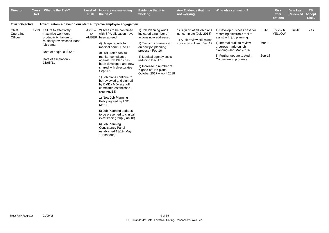| <b>Director</b><br><b>Evidence that it is</b><br>What is the Risk?<br>Any Evidence that it is<br>What else can we do?<br>How are we managing<br><b>Cross</b><br><b>Level of</b><br><b>Risk</b><br>the risk?<br>working.<br>not working.<br>Ref                                                                                                                                                                                                                                                                                                                                                                                                                                                                                                                                                                                                                                                                                                                                                                                                                                                                                                                                                                                                                                                                                                                                                                                                                                                                                                 |                  | <b>Risk</b><br>after<br>actions          | <b>Date Last</b><br><b>Reviewed</b> | TB.<br><b>Accept</b><br>Risk? |
|------------------------------------------------------------------------------------------------------------------------------------------------------------------------------------------------------------------------------------------------------------------------------------------------------------------------------------------------------------------------------------------------------------------------------------------------------------------------------------------------------------------------------------------------------------------------------------------------------------------------------------------------------------------------------------------------------------------------------------------------------------------------------------------------------------------------------------------------------------------------------------------------------------------------------------------------------------------------------------------------------------------------------------------------------------------------------------------------------------------------------------------------------------------------------------------------------------------------------------------------------------------------------------------------------------------------------------------------------------------------------------------------------------------------------------------------------------------------------------------------------------------------------------------------|------------------|------------------------------------------|-------------------------------------|-------------------------------|
| <b>Trust Objective:</b><br>Attract, retain & develop our staff & improve employee engagemen                                                                                                                                                                                                                                                                                                                                                                                                                                                                                                                                                                                                                                                                                                                                                                                                                                                                                                                                                                                                                                                                                                                                                                                                                                                                                                                                                                                                                                                    |                  |                                          |                                     |                               |
| Chief<br>1713 Failure to effectively<br>$4 \times 3 = 2$ ) Areas to be contained<br>1) Job Planning Audit<br>1) Sign off of all job plans<br>1) Develop business case for<br>with SPA allocation have<br>Operating<br>maximise workforce<br>12<br>indicated a number of<br>not complete (July 2018)<br>recording electronic tool to<br>Officer<br>AMBER been agreed<br>productivity; failure to<br>actions now addressed<br>assist with job planning.<br>1) Audit review still raised<br>routinely review consultant<br>1) Internal audit to review<br>1) Training commenced<br>concerns - closed Dec 17<br>4) Usage reports for<br>job plans.<br>progress made on job<br>medical bank - Dec 17<br>on new job planning<br>planning (Jan-Mar 2018)<br>process - Feb 16<br>Date of origin: 03/06/08<br>3) RAG rated tool to<br>5) Further update to Audit<br>monitor compliance<br>4) Medical agency costs<br>Date of escalation $=$<br>Committee in progress.<br>against Job Plans has<br>reducing Dec 17.<br>11/05/11<br>been developed and now<br>1) Increase in number of<br>shared with directorates<br>'signed off' job plans<br>Sept 17.<br>October 2017 + April 2018<br>1) Job plans continue to<br>be reviewed and sign off<br>by DMD / MD- sign off<br>committee established<br>(Apr-Aug18)<br>1) New Job Planning<br>Policy agreed by LNC<br>Mar 17<br>5) Job Planning updates<br>to be presented to clinical<br>excellence group (Jan 18)<br>6) Job Planning<br><b>Consistency Panel</b><br>established 18/19 (May<br>18 first one). | Mar-18<br>Sep-18 | Jul-18 $3 \times 2 = 6$<br><b>YELLOW</b> | <b>Jul-18</b>                       | Yes                           |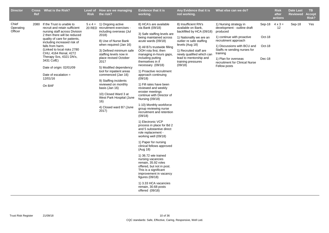| <b>Director</b>               | <b>Ref</b> | Cross What is the Risk?                                                                                                                                                                                                                                                                                                                                                                       | <b>Risk</b> | Level of How are we managing<br>the risk?                                                                                                                                                                                                                                                                                                                                                                                                                                                    | <b>Evidence that it is</b><br>working.                                                                                                                                                                                                                                                                                                                                                                                                                                                                                                                                                                                                     | Any Evidence that it is<br>not working.                                                                                                                                                                                                                              | What else can we do?                                                                                                                                                                                                                                                         |                                      | <b>Risk</b><br>after<br>actions | <b>Date Last</b><br><b>Reviewed</b> | <b>TB</b><br><b>Accept</b><br>Risk? |
|-------------------------------|------------|-----------------------------------------------------------------------------------------------------------------------------------------------------------------------------------------------------------------------------------------------------------------------------------------------------------------------------------------------------------------------------------------------|-------------|----------------------------------------------------------------------------------------------------------------------------------------------------------------------------------------------------------------------------------------------------------------------------------------------------------------------------------------------------------------------------------------------------------------------------------------------------------------------------------------------|--------------------------------------------------------------------------------------------------------------------------------------------------------------------------------------------------------------------------------------------------------------------------------------------------------------------------------------------------------------------------------------------------------------------------------------------------------------------------------------------------------------------------------------------------------------------------------------------------------------------------------------------|----------------------------------------------------------------------------------------------------------------------------------------------------------------------------------------------------------------------------------------------------------------------|------------------------------------------------------------------------------------------------------------------------------------------------------------------------------------------------------------------------------------------------------------------------------|--------------------------------------|---------------------------------|-------------------------------------|-------------------------------------|
| Chief<br>Operating<br>Officer | 2080       | If the Trust is unable to<br>recruit and retain sufficient<br>nursing staff across Division<br>2 then there will be reduced<br>quality of care for patients,<br>including increased risk of<br>falls from harm.<br>(Linked to local risks 2780)<br>CHU, 4164 Renal, 4272<br>Therapy Svs, 4321 DN's,<br>3431 CofE)<br>Date of origin: 02/01/09<br>Date of escalation $=$<br>12/01/16<br>On BAF |             | $5 \times 4 = 1$ ) Ongoing active<br>20 RED recruitment exercises -<br>including overseas (Jul<br>2018)<br>8) Use of Nurse Bank<br>when required (Jan 16)<br>3) Defined minimum safe<br>staffing levels now in<br>place revised October<br>2017<br>5) Modified dependency<br>tool for inpatient areas<br>commenced (Jan 16)<br>9) Staffing incidents<br>reviewed on monthly<br>basis (Jan 16)<br>10) Closed Ward 3 at<br>West Park Hospital (June<br>16)<br>4) Closed ward B7 (June<br>2017) | 8) HCA's are available<br>via Bank (09/18)<br>3) Safe staffing levels are<br>being maintained across<br>acute wards (09/18)<br>3) All B7s trustwide filling<br>OOH rota first, then<br>managing in-hours gaps,<br>including putting<br>themselves in if<br>necessary (09/18)<br>1) Proactive recruitment<br>approach continuing<br>(09/18)<br>1) Fill rates have been<br>reviewed and weekly<br>eroster meetings<br>continue with Director of<br>Nursing (09/18)<br>1-10) Monthly workforce<br>group reviewing nurse<br>recruitment and retention<br>(09/18)<br>1) Electronic VCP<br>process in place for Bd 2<br>and 5 substantive direct | 8) Insufficient RN's<br>available on Bank,<br>backfilled by HCA (09/18)<br>1) Nationallly we are an<br>outlier re safe staffing<br>levels (Aug 18)<br>1) Recruited staff are<br>newly qualified which can<br>lead to mentorship and<br>training pressures<br>(09/18) | 1) Nursing strategy in<br>development - outline draft<br>produced<br>1) continue with proactive<br>recruitment approach<br>1) Discussions with BCU and<br>Staffs re sending nurses for<br>training<br>1) Plan for overseas<br>recruitment for Clinical Nurse<br>Fellow posts | Sep-18<br>Oct-18<br>Oct-18<br>Dec-18 | $4 \times 3 =$<br>12            | Sep-18                              | Yes                                 |
|                               |            |                                                                                                                                                                                                                                                                                                                                                                                               |             |                                                                                                                                                                                                                                                                                                                                                                                                                                                                                              |                                                                                                                                                                                                                                                                                                                                                                                                                                                                                                                                                                                                                                            | role replacement -<br>working well (09/18)                                                                                                                                                                                                                           |                                                                                                                                                                                                                                                                              |                                      |                                 |                                     |                                     |
|                               |            |                                                                                                                                                                                                                                                                                                                                                                                               |             | 1) Paper for nursing<br>clinical fellows approved<br>(Aug 18)<br>1) 36.72 wte trained                                                                                                                                                                                                                                                                                                                                                                                                        |                                                                                                                                                                                                                                                                                                                                                                                                                                                                                                                                                                                                                                            |                                                                                                                                                                                                                                                                      |                                                                                                                                                                                                                                                                              |                                      |                                 |                                     |                                     |
|                               |            |                                                                                                                                                                                                                                                                                                                                                                                               |             |                                                                                                                                                                                                                                                                                                                                                                                                                                                                                              | nursing vacancies<br>remain, 35.92 roles<br>offered, but not in post.<br>This is a significant<br>improvement in vacancy<br>figures (09/18)<br>1) 3.33 HCA vacancies                                                                                                                                                                                                                                                                                                                                                                                                                                                                       |                                                                                                                                                                                                                                                                      |                                                                                                                                                                                                                                                                              |                                      |                                 |                                     |                                     |
|                               |            |                                                                                                                                                                                                                                                                                                                                                                                               |             |                                                                                                                                                                                                                                                                                                                                                                                                                                                                                              | remain, 30.68 posts<br>offered (09/18)                                                                                                                                                                                                                                                                                                                                                                                                                                                                                                                                                                                                     |                                                                                                                                                                                                                                                                      |                                                                                                                                                                                                                                                                              |                                      |                                 |                                     |                                     |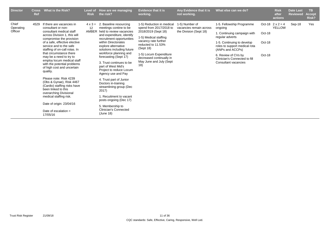| <b>Director</b>               | <b>Cross</b><br>Ref | What is the Risk?                                                                                                                                                                                                                                                                                                                                                                                                                                                                                                                                                  | <b>Risk</b>                          | Level of How are we managing<br>the risk?                                                                                                                                                                                                                                                                                                                                                                                                                                                                           | Evidence that it is<br>working.                                                                                                                                                                                                                         | Any Evidence that it is<br>not working.                             | What else can we do?                                                                                                                                                                                                                                      |                            | <b>Risk</b><br>after<br>actions          | <b>Date Last</b><br><b>Reviewed</b> | <b>TB</b><br><b>Accept</b><br>Risk? |
|-------------------------------|---------------------|--------------------------------------------------------------------------------------------------------------------------------------------------------------------------------------------------------------------------------------------------------------------------------------------------------------------------------------------------------------------------------------------------------------------------------------------------------------------------------------------------------------------------------------------------------------------|--------------------------------------|---------------------------------------------------------------------------------------------------------------------------------------------------------------------------------------------------------------------------------------------------------------------------------------------------------------------------------------------------------------------------------------------------------------------------------------------------------------------------------------------------------------------|---------------------------------------------------------------------------------------------------------------------------------------------------------------------------------------------------------------------------------------------------------|---------------------------------------------------------------------|-----------------------------------------------------------------------------------------------------------------------------------------------------------------------------------------------------------------------------------------------------------|----------------------------|------------------------------------------|-------------------------------------|-------------------------------------|
| Chief<br>Operating<br>Officer | 4529                | If there are vacancies in<br>consultant or non-<br>consultant medical staff<br>across Division 1, this will<br>compromise the provision<br>of a safe, effective elective<br>service and to the safe<br>staffing of on-call rotas. In<br>that circumstance there<br>may be a need to try to<br>employ locum medical staff<br>with the potential problems<br>of high cost and uncertain<br>quality.<br>Please note: Risk 4239<br>(Obs & Gynae), Risk 4467<br>(Cardio) staffing risks have<br>been linked to this<br>overarching Divisional<br>medical staffing risk. | $4 \times 3 =$<br>12<br><b>AMBER</b> | 2. Baseline resourcing<br>meetings contine to be<br>held to review vacancies<br>and expenditure, identify<br>recruitment opportunities<br>within Directorates<br>explore alternative<br>solutions including future<br>workforce planning and<br>forecasting (Sept 17)<br>3. Trust continues to be<br>part of West Mid's<br>Project to reduce Locum<br>Agency use and Pay<br>4. Trust part of Junior<br>Doctors in-training<br>streamlining group (Dec<br>2017)<br>1. Recuitment to vacant<br>posts ongoing (Dec 17) | 1-5) Reduction in medical<br>spend from 2017/2018 to<br>2018/2019 (Sept 18)<br>1-5) Medical staffing<br>vacancy rate further<br>reducted to 11.53%<br>(Sept 18)<br>1-5) Locum Expenditure<br>decreased continually in<br>May June and July (Sept<br>18) | 1-5) Number of<br>vacancies remain across<br>the Division (Sept 18) | 1-5. Fellowship Programme<br>ongoing<br>1. Continuing campaign with<br>regular adverts<br>1-5. Continuing to develop<br>roles to support medical rota<br>(ANPs and ACCPs)<br>6. Review of CVs by<br>Clinician's Connected to fill<br>Consultant vacancies | Oct-18<br>Oct-18<br>Oct-18 | Oct-18 $2 \times 2 = 4$<br><b>YELLOW</b> | Sep-18                              | Yes                                 |
|                               |                     | Date of origin: 23/04/16<br>Date of escalation $=$<br>17/05/16                                                                                                                                                                                                                                                                                                                                                                                                                                                                                                     |                                      | 5. Membership to<br><b>Clinician's Connected</b><br>(June 18)                                                                                                                                                                                                                                                                                                                                                                                                                                                       |                                                                                                                                                                                                                                                         |                                                                     |                                                                                                                                                                                                                                                           |                            |                                          |                                     |                                     |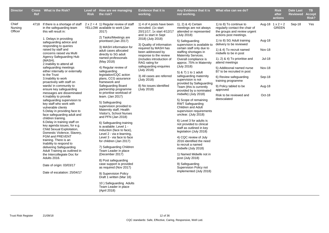| <b>Director</b>             | <b>Ref</b> | Cross What is the Risk?                                                                                                                                                                                                                                                                                                                                                                                                                                                                                                                                                                                                                                                                                                                                                                                                                                                                                                                                                                                                                                                                       | <b>Risk</b> | Level of How are we managing<br>the risk?                                                                                                                                                                                                                                                                                                                                                                                                                                                                                                                                                                                                                                                                                                                                                                                                                                                                                                                                                                                                             | <b>Evidence that it is</b><br>working.                                                                                                                                                                                                                                                                                                                                                                         | Any Evidence that it is<br>not working.                                                                                                                                                                                                                                                                                                                                                                                                                                                                                                                                                                                                                                                                                                                                                                                                                                                                                                             | What else can we do?                                                                                                                                                                                                                                                                                                                                                                                                                                                                |                                                                           | <b>Risk</b><br>after<br>actions         | <b>Date Last</b><br><b>Reviewed</b> | TB.<br><b>Accept</b><br>Risk? |
|-----------------------------|------------|-----------------------------------------------------------------------------------------------------------------------------------------------------------------------------------------------------------------------------------------------------------------------------------------------------------------------------------------------------------------------------------------------------------------------------------------------------------------------------------------------------------------------------------------------------------------------------------------------------------------------------------------------------------------------------------------------------------------------------------------------------------------------------------------------------------------------------------------------------------------------------------------------------------------------------------------------------------------------------------------------------------------------------------------------------------------------------------------------|-------------|-------------------------------------------------------------------------------------------------------------------------------------------------------------------------------------------------------------------------------------------------------------------------------------------------------------------------------------------------------------------------------------------------------------------------------------------------------------------------------------------------------------------------------------------------------------------------------------------------------------------------------------------------------------------------------------------------------------------------------------------------------------------------------------------------------------------------------------------------------------------------------------------------------------------------------------------------------------------------------------------------------------------------------------------------------|----------------------------------------------------------------------------------------------------------------------------------------------------------------------------------------------------------------------------------------------------------------------------------------------------------------------------------------------------------------------------------------------------------------|-----------------------------------------------------------------------------------------------------------------------------------------------------------------------------------------------------------------------------------------------------------------------------------------------------------------------------------------------------------------------------------------------------------------------------------------------------------------------------------------------------------------------------------------------------------------------------------------------------------------------------------------------------------------------------------------------------------------------------------------------------------------------------------------------------------------------------------------------------------------------------------------------------------------------------------------------------|-------------------------------------------------------------------------------------------------------------------------------------------------------------------------------------------------------------------------------------------------------------------------------------------------------------------------------------------------------------------------------------------------------------------------------------------------------------------------------------|---------------------------------------------------------------------------|-----------------------------------------|-------------------------------------|-------------------------------|
| Chief<br>Nursing<br>Officer |            | 4718 If there is a shortage of staff<br>in the safeguarding team<br>this will result in:<br>1. Delays in providing<br>safeguarding advice and<br>responding to queries<br>raised by staff and<br>concerns raised via Multi<br>Agency Safeguarding Hub<br>(MASH).<br>2. Inability to attend all<br>safeguarding meetings<br>either internally or externally<br>to the Trust<br>3. Inability to work<br>proactively with staff on<br>wards/ in community to<br>ensure key safeguarding<br>messages are disseminated<br>4. Inability to provide<br>safeguarding supervision to<br>key staff who work with<br>vulnerable clients<br>5. Delay in providing face to<br>face safeguarding adult and<br>children training.<br>6. Delay in training staff on<br>key agenda issues, for e.g.<br>Child Sexual Exploitation,<br>Domestic Violence, Slavery,<br>FGM and PREVENT<br>training. There is an<br>Inability to respond to<br>delivering Safeguarding<br>Adult Training as outlined in<br>the Intercollegiate Doc for<br>Adults 2016.<br>Date of origin: 03/03/17<br>Date of escalation: 25/04/17 |             | $2 \times 2 = 4$ 1) Regular review of staff<br>YELLOW available to work (Jan<br>2017)<br>2) Tasks/Meetings are<br>prioritised (Jan 2017)<br>3) MASH information for<br>adult cases allocated<br>directly to SG adult<br>named professonals<br>(May 2018)<br>4) Regular review of<br>safeguarding<br>legislation/CQC action<br>plans, CCG assurance<br>framework and<br>Safeguarding Board<br>partnership programme<br>to prioritise workload of<br>team. (Jan 2017)<br>5) Safeguarding<br>supervision provided to<br>Maternity staff, Health<br>Visitor's, School Nurses<br>and PFN (Jan 2018)<br>6) Safeguarding training<br>is available: Level 1 -<br>Induction (face to face),<br>Level 2 - via e-learning,<br>Level 3 - via face to face<br>for children (Jan 2017)<br>7) Safeguarding Children<br>Team Leader in place<br>(December 2017)<br>8) Post safeguarding<br>case support is provided<br>as required (Nov 2017)<br>9) Supervision Policy<br>Draft 1 written (Mar 18)<br>10) Safeguarding Adults<br>Team Leader in place<br>(April 2018) | 1) 4 of 4 posts have been<br>recruited. (1x start<br>20/11/17, 1x start 4/12/17<br>and 1x start in Sept<br>2018) (July 2018)<br>3) Quality of information<br>required by MASH has<br>been addressed by<br>response to the review<br>(includes introduction of<br>RAG rating for<br>safeguarding enquiries<br>(July 2018)<br>3) All cases are referred<br>(July 2018)<br>8) No issues identified<br>(July 2018) | 1), 2) & 4) Certain<br>meetings are not always<br>attended or represented<br>(July 2018)<br>5) Safeguarding<br>supervision is available to<br>certain staff only due to<br>staffing shortages in<br>Maternity Services.<br>Overall compliance is<br>approx. 75% in Maternity<br>(July 2018)<br>5) & 7) 1 to 1 adult<br>safeguarding maternity<br>supervision is not<br>provided by Safeguarding<br>Team (this is currently<br>provided by a nominated<br>midwife) (July 2018)<br>5) Scope of remaining<br><b>RWT Safeguarding</b><br>Children and Adult<br>supervision requirements<br>unclear. (July 2018)<br>6) Level 3 for adults is<br>not provided to clinical<br>staff as outlined in key<br>legislation (July 2018)<br>4) CQC review of July<br>2016 identified the need<br>to recruit a named<br>midwife (July 2018)<br>1) Named Midwife not in<br>post (July 2018)<br>9) Safeguarding<br>Supervision Policy not<br>implemented (July 2018) | 1) to 8) To continue to<br>regularly contact the chair of<br>the groups and review urgent<br>actions post meetings.<br>1) to 8) SG Adult training<br>delivery to be reviewed<br>1) & 4) To recruit named<br>midwife to be in post<br>1), 2) $\&$ 4) To prioritise and<br>attend meetings<br>5) Additoonal named nurse<br>B7 to be recruited in post<br>6) Review safeguarding<br>training programme<br>9) Policy tabled to be<br>approved<br>Risk to be reviewed and<br>deescalated | Aug-18<br>Nov-18<br><b>Jul-18</b><br>Nov-18<br>Sep-18<br>Aug-18<br>Oct-18 | Aug-18 $1 \times 2 = 2$<br><b>GREEN</b> | Sep-18                              | Yes                           |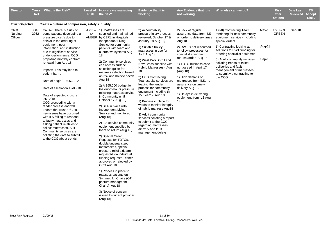| <b>Director</b>             | <b>Cross</b><br><b>Ref</b> | What is the Risk?                                                                                                                                                                                                                                                                                                                                                                                                                                                                                                                                                                                                                                                                                                                                               | <b>Risk</b> | Level of How are we managing<br>the risk?                                                                                                                                                                                                                                                                                                                                                                                                                                                                                                                                                                                                                                                                                                                                   | <b>Evidence that it is</b><br>working.                                                                                                                                                                                                                                                                                                                                                                                                                                                                                                                                                                                              | Any Evidence that it is<br>not working.                                                                                                                                                                                                                                                                                                                                                                          | What else can we do?                                                                                                                                                                                                                                                                                                                                                |                  | <b>Risk</b><br>after<br>actions  | <b>Date Last</b><br>Reviewed | <b>TB</b><br><b>Accept</b><br>Risk? |
|-----------------------------|----------------------------|-----------------------------------------------------------------------------------------------------------------------------------------------------------------------------------------------------------------------------------------------------------------------------------------------------------------------------------------------------------------------------------------------------------------------------------------------------------------------------------------------------------------------------------------------------------------------------------------------------------------------------------------------------------------------------------------------------------------------------------------------------------------|-------------|-----------------------------------------------------------------------------------------------------------------------------------------------------------------------------------------------------------------------------------------------------------------------------------------------------------------------------------------------------------------------------------------------------------------------------------------------------------------------------------------------------------------------------------------------------------------------------------------------------------------------------------------------------------------------------------------------------------------------------------------------------------------------------|-------------------------------------------------------------------------------------------------------------------------------------------------------------------------------------------------------------------------------------------------------------------------------------------------------------------------------------------------------------------------------------------------------------------------------------------------------------------------------------------------------------------------------------------------------------------------------------------------------------------------------------|------------------------------------------------------------------------------------------------------------------------------------------------------------------------------------------------------------------------------------------------------------------------------------------------------------------------------------------------------------------------------------------------------------------|---------------------------------------------------------------------------------------------------------------------------------------------------------------------------------------------------------------------------------------------------------------------------------------------------------------------------------------------------------------------|------------------|----------------------------------|------------------------------|-------------------------------------|
| <b>Trust Objective:</b>     |                            | Create a culture of compassion, safety & quality                                                                                                                                                                                                                                                                                                                                                                                                                                                                                                                                                                                                                                                                                                                |             |                                                                                                                                                                                                                                                                                                                                                                                                                                                                                                                                                                                                                                                                                                                                                                             |                                                                                                                                                                                                                                                                                                                                                                                                                                                                                                                                                                                                                                     |                                                                                                                                                                                                                                                                                                                                                                                                                  |                                                                                                                                                                                                                                                                                                                                                                     |                  |                                  |                              |                                     |
| Chief<br>Nursing<br>Officer | O4                         | Cause: There is a risk of<br>2952 some patients developing a<br>pressure ulcer/s due to<br>delays in the ordering of<br>equipment, poor<br>information and instruction<br>due to significant service<br>under-performance. CCG<br>proposing monthly contract<br>renewal from Aug 18.<br>Impact: This may lead to<br>patient harm.<br>Date of origin: 10.05.2012<br>Date of escalation 19/03/18<br>Date of expected closure<br>01/12/18<br>CCG proceeding with a<br>tender process and will<br>update the Trust 27/9/18.<br>new issues have occurred<br>with ILS failing to respond<br>to faulty mattresses and<br>asking patient relatives to<br>collect mattresses. Ault<br>Community services are<br>collating the data to submit<br>to the CCG about trends. | 12          | $4 \times 3 = 1$ ) Mattresses are<br>supplied and maintained<br>AMBER by CERL in Hospitals.<br>Independant Living<br>Service for community<br>patients with foam and<br>alternative systems Aug<br>18<br>2) Community services<br>can access surface<br>selection guide for<br>mattress selection based<br>on risk and holistic needs<br>Aug 18<br>2) A £55,000 budget for<br>the out-of-hours pressure<br>relieving mattress service<br>in Community until<br>October 17 Aug 18)<br>2) SLA in place with<br>Independent Living<br>Service and monitored<br>(Aug 18)<br>2) ILS service community<br>equipment supplied by<br>them on return (Aug 18)<br>2) Special Order<br>Requests for TOTOs,<br>double/unusual sized<br>mattressess, special<br>pressure relief aids are | 2) Accountability<br>pressure injury process<br>reviewed, October 17 &<br>January 18 Aug 18)<br>1) Suitable trolley<br>mattresses in use for<br>A&E Aug 18<br>3) West Park, CCH and<br>New Cross supplied with<br>Hybrid Mattresses - Aug<br>18<br>2) CCG Contracting<br>Team/souial services are<br>leading the tender<br>process for community<br>equipment including th<br>TV Team - Aug 18<br>1) Process in place for<br>wards to monitor integrity<br>of hybrid mattress Aug18<br>3) Adult community<br>services collating a report<br>to submit to the CCG<br>regarding mattresses<br>delivery and fault<br>management delays | 2) Lack of regular<br>assurance data from ILS<br>on order to delivery times<br>Aug 18<br>2) RWT is not resourced<br>to follow processes for<br>specialist equipment<br>request/order -Aug 18<br>1) TOTO business case<br>not agreed in April 17<br>(Aug 18)<br>1) High demans on<br>mattresses from ILS, no<br>assurance on timely<br>delivery Aug 18<br>1) Delays in delivering<br>equipment from ILS Aug<br>18 | 1.6-8) Contracting Team<br>tendering for new community<br>equipment service - including<br>special orders<br>1) Contracting looking at<br>solutions to RWT funding for<br>ordering specialist equipment<br>6) Adult community services<br>collating trends of failed<br>deliveries and fault<br>management of mattresses<br>to submit via contracting to<br>the CCG | Aug-18<br>Sep-18 | May-18 $1 \times 3 = 3$<br>GREEN | Sep-18                       |                                     |
|                             |                            |                                                                                                                                                                                                                                                                                                                                                                                                                                                                                                                                                                                                                                                                                                                                                                 |             | requested via individual<br>funding requests - either<br>approved or rejected by<br>CCG Aug 18<br>1) Process in place to<br>reassess patients on<br>Symmetrikit Chairs (OT<br>posture managment                                                                                                                                                                                                                                                                                                                                                                                                                                                                                                                                                                             |                                                                                                                                                                                                                                                                                                                                                                                                                                                                                                                                                                                                                                     |                                                                                                                                                                                                                                                                                                                                                                                                                  |                                                                                                                                                                                                                                                                                                                                                                     |                  |                                  |                              |                                     |
|                             |                            |                                                                                                                                                                                                                                                                                                                                                                                                                                                                                                                                                                                                                                                                                                                                                                 |             | Chairs) Aug18<br>3) Notice of concern<br>issued to current provider<br>(Aug 18)                                                                                                                                                                                                                                                                                                                                                                                                                                                                                                                                                                                                                                                                                             |                                                                                                                                                                                                                                                                                                                                                                                                                                                                                                                                                                                                                                     |                                                                                                                                                                                                                                                                                                                                                                                                                  |                                                                                                                                                                                                                                                                                                                                                                     |                  |                                  |                              |                                     |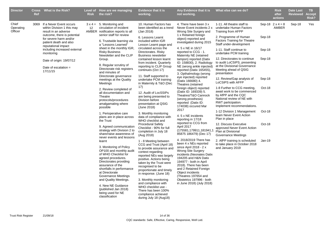| <b>Director</b>               | Ref | Cross What is the Risk?                                                                                           | <b>Risk</b> | Level of How are we managing<br>the risk?                                                                                                                                                                                                                                                                                                    | <b>Evidence that it is</b><br>working.                                                                                                                                                                                                                                                                                                                                                                        | Any Evidence that it is<br>not working.                                                                                                                                                                                                                                                                                                         | What else can we do?                                                                                                                                               |                  | <b>Risk</b><br>after<br>actions         | <b>Date Last</b><br><b>Reviewed</b> | <b>TB</b><br><b>Accept</b><br>Risk? |
|-------------------------------|-----|-------------------------------------------------------------------------------------------------------------------|-------------|----------------------------------------------------------------------------------------------------------------------------------------------------------------------------------------------------------------------------------------------------------------------------------------------------------------------------------------------|---------------------------------------------------------------------------------------------------------------------------------------------------------------------------------------------------------------------------------------------------------------------------------------------------------------------------------------------------------------------------------------------------------------|-------------------------------------------------------------------------------------------------------------------------------------------------------------------------------------------------------------------------------------------------------------------------------------------------------------------------------------------------|--------------------------------------------------------------------------------------------------------------------------------------------------------------------|------------------|-----------------------------------------|-------------------------------------|-------------------------------------|
| Chief<br>Operating<br>Officer |     | 3069 If a Never Event occurs<br>within Division 1 this may<br>result in an adverse<br>outcome, there is potential | 12          | $3 \times 4 = 5$ . Monitoring and<br>circulation of incident<br>AMBER notification reports to all<br>senior staff for review                                                                                                                                                                                                                 | 10. Human Factors has<br>been identified as a trend<br>(Jan 2018)                                                                                                                                                                                                                                                                                                                                             | 4. There have been 3 x<br>Never Event incidents 2 x<br>Wrong Site Surgery and<br>1 x Retained foreign                                                                                                                                                                                                                                           | 1-11. All theatre staff to<br>undertake Human Factors<br>Training from AFPP                                                                                        |                  | Sep-18 $2 \times 4 = 8$<br><b>AMBER</b> | Sep-18                              | Yes                                 |
|                               |     | for severe harm and/or<br>patient death and also<br>reputational impact                                           |             | 6. Trustwide learning via<br>a "Lessons Learned"                                                                                                                                                                                                                                                                                             | 6. Lessons Learnt<br>included within IGR<br>Lesson Learnt page and                                                                                                                                                                                                                                                                                                                                            | object) reported and<br>investigated during 2015                                                                                                                                                                                                                                                                                                | 2. Programme of Human<br><b>Factors Training for Theatre</b><br>Staff under-development                                                                            | Sep-18           |                                         |                                     |                                     |
|                               |     | including increased external<br>monitoring                                                                        |             | sheet in the monthly IGR,<br><b>Risky Business</b><br>Newsletter and the CLIP                                                                                                                                                                                                                                                                | circulated across the<br>Directorates. Risky<br><b>Business newsletter</b>                                                                                                                                                                                                                                                                                                                                    | 4. 5 x NE in 16/17<br>reported to CCG - 1.<br>Maternity NE (retained                                                                                                                                                                                                                                                                            | 1-11. Staff continue to<br>undertake PCM training<br>12. Directorates to continue                                                                                  | Sep-18<br>Sep-18 |                                         |                                     |                                     |
|                               |     | Date of origin: 19/07/12<br>Date of escalation $=$<br>17/11/15                                                    |             | Group.<br>8. Regular scrutiny of<br>Directorate risk registers<br>and minutes of<br>Directorate governance                                                                                                                                                                                                                                   | contained lesson learnt<br>from incident. Quarterly<br>reporting to CLIP Group<br>continues (Oct 17)<br>11. Staff supported to                                                                                                                                                                                                                                                                                | tampon) reported (Datix<br>ID: 158830), 2. Radiology<br>NE (wrong ankle injected)<br>reported (Datix 165455),<br>3. Opthalmology (wrong<br>eye injected) reported                                                                                                                                                                               | to audit LoCSIPS, presenting<br>at the Divisional Governance<br>Meeting ahead of QSIG<br>presentation                                                              |                  |                                         |                                     |                                     |
|                               |     |                                                                                                                   |             | meetings at the Quality<br>Meetings                                                                                                                                                                                                                                                                                                          | undertake PCM training<br>in Maternity & T&O (Dec<br>17)                                                                                                                                                                                                                                                                                                                                                      | (Datix 166680) 4.<br>Theatres (retained                                                                                                                                                                                                                                                                                                         | 12. Review/Gap analysis of<br>LoCSIPS with AFFP                                                                                                                    | Sep-18           |                                         |                                     |                                     |
|                               |     |                                                                                                                   |             | 2. Review completed of<br>all documentation and<br>Theatre<br>protocols/procedures<br>amalgamating where<br>possible                                                                                                                                                                                                                         | 12. Audit of LocSSIPs<br>are being presented to<br>Division before<br>presentation at QSIG<br>(June 2018)                                                                                                                                                                                                                                                                                                     | foreign object) reported<br>(Datix ID: 169339) 5.<br>Theatres/T&O Cannock<br>(wrong prosthesis)<br>reported (Datix ID:<br>174038) occured Mar<br>2017                                                                                                                                                                                           | 1-8 Further to CCG meeting,<br>await work to be commenced<br>by AfPP and the CQC<br>National review of NE with<br>RWT participation.<br>Implement recommendations. | Oct-18           |                                         |                                     |                                     |
|                               |     |                                                                                                                   |             | 1. Perioperative care<br>plans are in place across<br>the Trust                                                                                                                                                                                                                                                                              | 3. Monthly monitoring<br>data of compliance with<br>WHO checklist and                                                                                                                                                                                                                                                                                                                                         | 4.5 x NE incidents<br>reporting in 17/18                                                                                                                                                                                                                                                                                                        | 1-12 Division 1 Management<br>team Never Event Action<br>Plan in place                                                                                             | Oct-18           |                                         |                                     |                                     |
|                               |     |                                                                                                                   |             | 9. Agreed communication<br>strategy with Division 2 to<br>share/raise awareness of<br>never events and lessons                                                                                                                                                                                                                               | <b>Procedural Safety</b><br>Checklist - 90% for full<br>completion in July 18<br>(Aug 2018)                                                                                                                                                                                                                                                                                                                   | reported to CCG from<br>April 2017<br>(175581,179911,181941,<br>85875 186479) (Dec 17)                                                                                                                                                                                                                                                          | 12. Discuss Executive<br>approved Never Event Action<br>Plan at Divisional<br>Governance Meetings                                                                  | Oct-18           |                                         |                                     |                                     |
|                               |     |                                                                                                                   |             | learnt<br>3. Monitoring of Policy<br>OP100 and monthly audit<br>of WHO Checklist for<br>agreed procedures.<br>Directorates providing<br>assurance of the<br>shortfalls in performance<br>at Directorate<br>Governance Meetings<br>and Quality Meetings.<br>4. New NE Guidance<br>(published Jan 2018)<br>being used for NE<br>classification | 1 - 8 Meeting between<br>CCG and Trust (April 18)<br>to provide assurance and<br>context regarding<br>reported NEs was largely<br>positive. Actions being<br>taken by the Trust were<br>recognised to be<br>proportionate and timely<br>in response. (June 18)<br>3. Monthly monitoring<br>and compliance with<br>WHO checklist use -<br>There has been 100%<br>compliance achieved<br>during July 18 (Aug18) | 4. 2018/2019 There has<br>been 4 x NEs reported<br>since April 2018 - $2 x$<br><b>Wrong Site Surgery</b><br>incidents (Neonates Datix<br>194205 and H&N Datix<br>194977 - both in April<br>2018). There has been<br>and 2 Retained Foreign<br>Object incidents<br>(Theatres 197654 and<br>Obstetrics 197996 - both<br>in June 2018) (July 2018) | 2. AfPP training is scheduled<br>to take place in October 2018<br>and January 2019                                                                                 | $Jan-19$         |                                         |                                     |                                     |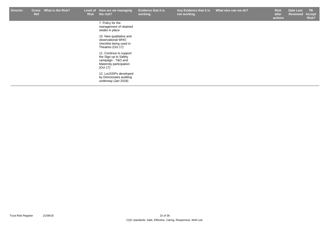| <b>Director</b> | <b>Cross</b><br>Ref | <b>What is the Risk?</b> | Level of<br><b>Risk</b> | How are we managing<br>the risk?                                                                              | <b>Evidence that it is</b><br>working. | Any Evidence that it is<br>not working. | What else can we do? | <b>Risk</b><br>after<br>actions | <b>Date Last</b><br><b>Reviewed</b> | TB.<br>Accept<br>Risk? |
|-----------------|---------------------|--------------------------|-------------------------|---------------------------------------------------------------------------------------------------------------|----------------------------------------|-----------------------------------------|----------------------|---------------------------------|-------------------------------------|------------------------|
|                 |                     |                          |                         | 7. Policy for the<br>management of retained<br>swabs in place                                                 |                                        |                                         |                      |                                 |                                     |                        |
|                 |                     |                          |                         | 10. New qualitative and<br>observational WHO<br>checklist being used in<br>Theatres (Oct 17)                  |                                        |                                         |                      |                                 |                                     |                        |
|                 |                     |                          |                         | 11. Continue to support<br>the Sign up to Safety<br>campaign - T&O and<br>Maternity participation<br>(Oct 17) |                                        |                                         |                      |                                 |                                     |                        |
|                 |                     |                          |                         | 12. LocSSIPs developed<br>by Directorates auditing<br>underway (Jan 2018)                                     |                                        |                                         |                      |                                 |                                     |                        |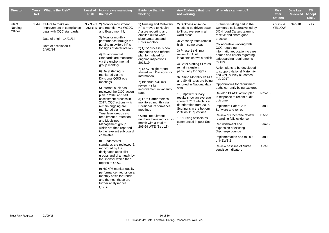| <b>Director</b>             | Ref  | Cross What is the Risk?                                                                                                                       | Level of<br><b>Risk</b> | How are we managing<br>the risk?                                                                                                                                                                                                                                                                                                                                                                                                                                                                                                                                                                                                                                                                                                                                                                                                                                                                                                                                                                                                                   | <b>Evidence that it is</b><br>working.                                                                                                                                                                                                                                                                                                                                                                                                                                                                                                                                                                    | Any Evidence that it is<br>not working.                                                                                                                                                                                                                                                                                                                                                                                                                                                                                                                                                                                | What else can we do?                                                                                                                                                                                                                                                                                                                                                                                                                                                                                                                                                                                                                                                                                                                                                                                                      |                                                                 | <b>Risk</b><br>after<br>actions   | <b>Date Last</b><br><b>Reviewed</b> | TB.<br><b>Accept</b><br>Risk? |
|-----------------------------|------|-----------------------------------------------------------------------------------------------------------------------------------------------|-------------------------|----------------------------------------------------------------------------------------------------------------------------------------------------------------------------------------------------------------------------------------------------------------------------------------------------------------------------------------------------------------------------------------------------------------------------------------------------------------------------------------------------------------------------------------------------------------------------------------------------------------------------------------------------------------------------------------------------------------------------------------------------------------------------------------------------------------------------------------------------------------------------------------------------------------------------------------------------------------------------------------------------------------------------------------------------|-----------------------------------------------------------------------------------------------------------------------------------------------------------------------------------------------------------------------------------------------------------------------------------------------------------------------------------------------------------------------------------------------------------------------------------------------------------------------------------------------------------------------------------------------------------------------------------------------------------|------------------------------------------------------------------------------------------------------------------------------------------------------------------------------------------------------------------------------------------------------------------------------------------------------------------------------------------------------------------------------------------------------------------------------------------------------------------------------------------------------------------------------------------------------------------------------------------------------------------------|---------------------------------------------------------------------------------------------------------------------------------------------------------------------------------------------------------------------------------------------------------------------------------------------------------------------------------------------------------------------------------------------------------------------------------------------------------------------------------------------------------------------------------------------------------------------------------------------------------------------------------------------------------------------------------------------------------------------------------------------------------------------------------------------------------------------------|-----------------------------------------------------------------|-----------------------------------|-------------------------------------|-------------------------------|
| Chief<br>Nursing<br>Officer | 3644 | Failure to make an<br>improvement in compliance<br>gaps with CQC standards.<br>Date of origin: 14/01/14<br>Date of escalation $=$<br>14/01/14 |                         | $3 \times 3 = 9$ 2) Monitor recruitment<br>AMBER and retention via WODG<br>and Board monthly<br>3) Monitor monthly<br>performance through the<br>nursing midwifery KPIs<br>for signs of deterioration<br>4) Environmental<br>Standards are monitored<br>via the environmental<br>group monthly<br>6) Daily staffing is<br>monitored via the<br>Divisional QSIG ops<br>meetings<br>5) Internal audit has<br>reviewed the CQC action<br>plan in 2016 and self<br>assessment process in<br>2017. CQC actions which<br>remain ongoing are<br>monitored via relevant<br>Trust level groups e.g<br>recruitment & retention<br>and Medicines<br>Management group<br>which are then reported<br>to the relevant sub board<br>committee.<br>8) Fundamental<br>standards are reviewed &<br>monitored by the<br>designated specialist<br>groups and bi annually by<br>the sponsor which then<br>reports to COG.<br>9) HON/M monitor quality<br>performance metrics on a<br>monthly basis for trends<br>and themes, these are<br>further analysed via<br>QSIG. | 5) Nursing and Midwifery<br>KPIs moved to Health<br>Assure reporting and<br>emailed out to ward<br>sisters/matrons and<br>HoNs monthly.<br>2) QRV process is now<br>embedded and refined,<br>plan formulated for<br>ongoing inspections<br>2018/19<br>7) CQC insight report<br>shared with Divisions for<br>information,<br>7) Biannual skill mix<br>review - slight<br>improvement in vacancy<br>rates<br>3) Lord Carter metrics<br>monitored monthly via<br><b>Divisional Performance</b><br>meetings<br>Overall recruitment<br>numbers have reduced in<br>month with a total of<br>205.64 WTE (Sep 18) | 2) Sickness absence<br>needs to be driven down<br>to Trust average in all<br>ward areas.<br>3) Vacancy rates remain<br>high in some areas<br>3) Phase 1 skill mix<br>review for Adult<br>inpatients shows a deficit<br>4) Safer staffing fill rates<br>remain transient<br>particularly for nights<br>9) Rising Mortality HSMR<br>and SHMI rates are being<br>reported in National data<br>sets<br>10) Inpatient survey<br>results show an average<br>score of 76.7 which is a<br>deterioration from 2015.<br>Scoring is in the bottom<br>20% on 11 questions.<br>10 Nursing associates<br>commenced in post Sep<br>18 | 5) Trust is taking part in the<br>workforce collaborative led by<br>DOH (Lord Carters team) to<br>receive and share good<br>practice<br>Collaborative working with<br>CCG regarding<br>information/education to care<br>homes and carers regarding<br>safeguarding requirements<br>for PI's<br>Action plans to be developed<br>to support National Maternity<br>and CYP survey outcomes<br>Feb 2017<br>Opportunities for recruitment<br>paths currently being explored<br>Develop PLACE action plan<br>in response to recent audit<br>outcome<br>Implement Safer Care<br>Software and roll out<br>Review of Cochrane review<br>regarding falls evidence<br>Refurbishment and<br>expansion of existing<br>Discharge Lounge<br>Implementation and roll out<br>of NEWS 2<br>Review baseline of Nurse<br>sensitive indicators | <b>Nov-18</b><br>Jan-19<br>Dec-18<br>Jan-19<br>Jan-19<br>Oct-18 | $2 \times 2 = 4$<br><b>YELLOW</b> | Sep-18                              | Yes                           |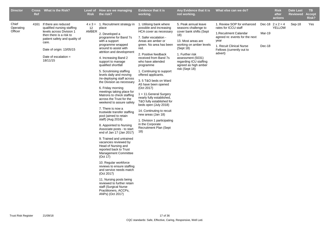| <b>Director</b>               | <b>Ref</b> | Cross What is the Risk?                                                                                                                                                                                               | <b>Risk</b> | Level of How are we managing<br>the risk?                                                                                                                                                                                                                                                                                                                                                                                                                                                                                                                                                                                                                                                                                                                                                                                                                                                                                                                                                                                                                                                       | <b>Evidence that it is</b><br>working.                                                                                                                                                                                                                                                                                                                                                                                                                                                                                                                                                                                        | Any Evidence that it is<br>not working.                                                                                                                                                                                                                  | What else can we do?                                                                                                                                                                       |                  | <b>Risk</b><br>after<br>actions          | <b>Date Last</b><br><b>Reviewed</b> | TB.<br><b>Accept</b><br>Risk? |
|-------------------------------|------------|-----------------------------------------------------------------------------------------------------------------------------------------------------------------------------------------------------------------------|-------------|-------------------------------------------------------------------------------------------------------------------------------------------------------------------------------------------------------------------------------------------------------------------------------------------------------------------------------------------------------------------------------------------------------------------------------------------------------------------------------------------------------------------------------------------------------------------------------------------------------------------------------------------------------------------------------------------------------------------------------------------------------------------------------------------------------------------------------------------------------------------------------------------------------------------------------------------------------------------------------------------------------------------------------------------------------------------------------------------------|-------------------------------------------------------------------------------------------------------------------------------------------------------------------------------------------------------------------------------------------------------------------------------------------------------------------------------------------------------------------------------------------------------------------------------------------------------------------------------------------------------------------------------------------------------------------------------------------------------------------------------|----------------------------------------------------------------------------------------------------------------------------------------------------------------------------------------------------------------------------------------------------------|--------------------------------------------------------------------------------------------------------------------------------------------------------------------------------------------|------------------|------------------------------------------|-------------------------------------|-------------------------------|
| Chief<br>Operating<br>Officer | 4161       | If there are reduced<br>qualified nursing staffing<br>levels across Division 1<br>then there is a risk to<br>patient safety and quality of<br>care.<br>Date of origin: 13/05/15<br>Date of escalation $=$<br>18/11/15 | 12<br>AMBER | $4 \times 3 = 1$ . Recruitment strategy in<br>place<br>2. Developed a<br>programme for Band 7s<br>with a support<br>programme wrapped<br>around to assist with<br>attrition and development<br>4. Increasing Band 2<br>support to manage<br>qualified shortfall<br>5. Scrutinising staffing<br>levels daily and moving<br>/re-deploying staff across<br>the Division as necessary<br>6. Friday morning<br>meetings taking place for<br>Matrons to check staffing<br>across the Trust for the<br>weekend to assure safety<br>7. There is now a<br>trustwide transfer staffing<br>pool (aimed to retain<br>staff) (Aug 2016)<br>8. Appointed to Nursing<br>Associate posts - to start<br>end of Jan 17 (Jan 2017)<br>9. Trained and untrained<br>vacancies reviewed by<br>Head of Nursing and<br>reported back to Trust<br><b>Management Committee</b><br>(Oct 17)<br>10. Regular workforce<br>reviews to ensure staffing<br>and service needs match<br>(Oct 2017)<br>11. Nursing posts being<br>reviewed to further retain<br>staff (Surgical Nurse<br>Practitioners, ACCPs,<br>ANPs) (Oct 2017) | 1. Utilising bank where<br>possible and increasing<br>HCA cover as necessary<br>7. Safer escalation -<br>Areas are amber or<br>green. No area has been<br>red.<br>2. Positive feedback<br>received from Band 7s<br>who have attended<br>programme<br>1. Continuing to support<br>offered applicants.<br>3.5 T&O beds on Ward<br>A5 have been opened<br>(Oct 2017)<br>1 + 11. General Surgery<br>nearly fully established,<br>T&O fully established for<br>beds open (July 2018)<br>14. Continuting to recuit<br>new areas (Jan 18)<br>1. Division 1 participating<br>in the Corporate<br><b>Recruitment Plan (Sept</b><br>18) | 5. Peak annual leave<br>seasons challenge to<br>cover bank shifts (Sept<br>18)<br>13. Most areas are<br>working on amber levels<br>(Sept 18)<br>1. Further risk<br>assessment (5031)<br>regarding ICU staffing<br>agreed as high amber<br>risk (Sept 18) | 1. Review SOP for enhanced<br>rates for ICCU staff<br>1. Recuitment Calandar<br>agreed re: events for the next<br>year<br>1. Recuit Clinical Nurse<br>Fellows (currently out to<br>advert) | Mar-19<br>Dec-18 | Dec-18 $2 \times 2 = 4$<br><b>YELLOW</b> | Sep-18                              | Yes                           |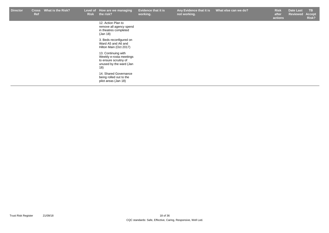| <b>Director</b> | <b>Cross</b><br><b>Ref</b> | What is the Risk? | <b>Risk</b> | Level of How are we managing<br>the risk?                                                                 | <b>Evidence that it is</b><br>working. | Any Evidence that it is<br>not working. | What else can we do? | <b>Risk</b><br>after<br>actions | Date Last<br>Reviewed | TB.<br>Accept<br>Risk? |
|-----------------|----------------------------|-------------------|-------------|-----------------------------------------------------------------------------------------------------------|----------------------------------------|-----------------------------------------|----------------------|---------------------------------|-----------------------|------------------------|
|                 |                            |                   |             | 12. Action Plan to<br>remove all agency spend<br>in theatres completed<br>(Jan 18)                        |                                        |                                         |                      |                                 |                       |                        |
|                 |                            |                   |             | 3. Beds reconfigured on<br>Ward A5 and A6 and<br>Hilton Main (Oct 2017)                                   |                                        |                                         |                      |                                 |                       |                        |
|                 |                            |                   |             | 13. Continuing with<br>Weekly e-rosta meetings<br>to ensure scruitny of<br>unused by the ward (Jan<br>18) |                                        |                                         |                      |                                 |                       |                        |
|                 |                            |                   |             | 14. Shared Governance<br>being rolled out to the<br>pilot areas (Jan 18)                                  |                                        |                                         |                      |                                 |                       |                        |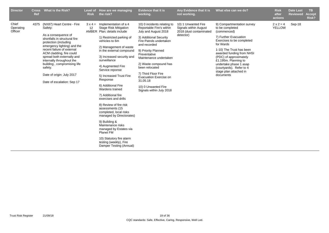| <b>Director</b>               | <b>Cross</b><br>Ref | What is the Risk?                                                                                                                                                                                                                                                                                                                                                               | <b>Risk</b> | Level of How are we managing<br>the risk?                                                                                                                                                                                                                                                                                                                                                                                                                                                                                                                                                                                                                               | <b>Evidence that it is</b><br>working.                                                                                                                                                                                                                                                                                                                                           | Any Evidence that it is<br>not working.                                              | What else can we do?                                                                                                                                                                                                                                                                                                                    | <b>Risk</b><br>after<br>actions   | <b>Date Last</b><br><b>Reviewed</b> | <b>TB</b><br><b>Accept</b><br>Risk? |
|-------------------------------|---------------------|---------------------------------------------------------------------------------------------------------------------------------------------------------------------------------------------------------------------------------------------------------------------------------------------------------------------------------------------------------------------------------|-------------|-------------------------------------------------------------------------------------------------------------------------------------------------------------------------------------------------------------------------------------------------------------------------------------------------------------------------------------------------------------------------------------------------------------------------------------------------------------------------------------------------------------------------------------------------------------------------------------------------------------------------------------------------------------------------|----------------------------------------------------------------------------------------------------------------------------------------------------------------------------------------------------------------------------------------------------------------------------------------------------------------------------------------------------------------------------------|--------------------------------------------------------------------------------------|-----------------------------------------------------------------------------------------------------------------------------------------------------------------------------------------------------------------------------------------------------------------------------------------------------------------------------------------|-----------------------------------|-------------------------------------|-------------------------------------|
| Chief<br>Operating<br>Officer | 4375                | (NX87) Heart Centre - Fire<br>Safety:<br>As a consequence of<br>shortfalls in structural fire<br>protection (including<br>emergency lighting) and the<br>recent failure of external<br>ACM cladding, fire could<br>spread both externally and<br>internally throughout the<br>building, compromising life<br>safety.<br>Date of origin: July 2017<br>Date of escalation: Sep 17 | 12          | $3 \times 4 =$ Implementation of a 4<br><b>Stage Risk Mitigation</b><br>AMBER Plan; details include<br>1) Restricted parking of<br>vehicles to 6m<br>2) Management of waste<br>in the external compound<br>3) Increased security and<br>surveillance<br>4) Augmented Fire<br>Service reponse<br>5) Increased Trust Fire<br>Response<br>6) Additional Fire<br>Wardens trained<br>7) Additional fire<br>exercises and drills<br>8) Review of fire risk<br>assessments (15<br>completed, local risks<br>managed by Directorates)<br>9) Building &<br>Maintenance risks<br>managed by Estates via<br><b>Planet FM</b><br>10) Statutory fire alarm<br>testing (weekly), Fire | 10) 0 incidents relating to<br>Reportable Fire's within<br>July and August 2018<br>3) Additional Security<br>Fire Patrols undertaken<br>and recorded<br>9) Priority Planned<br>Preventative<br>Maintenance undertaken<br>2) Waste compound has<br>been relocated<br>7) Third Floor Fire<br>Evacuation Exercise on<br>31.05.18<br>10) 0 Unwanted Fire<br>Signals within July 2018 | 10) 1 Unwanted Fire<br>Signals within August<br>2018 (dust contaminated<br>detector) | 9) Compartmentation survey<br>to be completed<br>(commenced)<br>7) Further Evacuation<br>Exercises to be completed<br>for Wards<br>1-10) The Trust has been<br>awarded funding from NHSI<br>(PDC) of approximately<br>£1.195m. Planning to<br>undertake phase 1 asap<br>(courtyards). Refer to 4<br>stage plan attached in<br>documents | $2 \times 2 = 4$<br><b>YELLOW</b> | Sep-18                              |                                     |
|                               |                     |                                                                                                                                                                                                                                                                                                                                                                                 |             | Damper Testing (Annual)                                                                                                                                                                                                                                                                                                                                                                                                                                                                                                                                                                                                                                                 |                                                                                                                                                                                                                                                                                                                                                                                  |                                                                                      |                                                                                                                                                                                                                                                                                                                                         |                                   |                                     |                                     |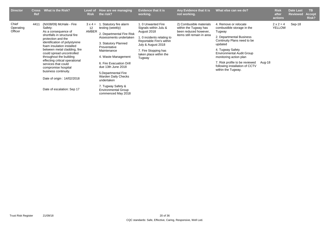| <b>Director</b>               | <b>Cross</b><br><b>Ref</b> | What is the Risk?                                                                                                                                                                                                                                                                                                                                                              | Level of<br><b>Risk</b>       | How are we managing<br>the risk?                                                                                                                                                                                                                                                 | <b>Evidence that it is</b><br>working.                                                                                                                                                                | Any Evidence that it is<br>not working.                                                                 | What else can we do?                                                                                                                                                                                                                                                                                            |        | <b>Risk</b><br>after<br>actions   | <b>Date Last</b><br><b>Reviewed</b> | TB.<br><b>Accept</b><br>Risk? |
|-------------------------------|----------------------------|--------------------------------------------------------------------------------------------------------------------------------------------------------------------------------------------------------------------------------------------------------------------------------------------------------------------------------------------------------------------------------|-------------------------------|----------------------------------------------------------------------------------------------------------------------------------------------------------------------------------------------------------------------------------------------------------------------------------|-------------------------------------------------------------------------------------------------------------------------------------------------------------------------------------------------------|---------------------------------------------------------------------------------------------------------|-----------------------------------------------------------------------------------------------------------------------------------------------------------------------------------------------------------------------------------------------------------------------------------------------------------------|--------|-----------------------------------|-------------------------------------|-------------------------------|
| Chief<br>Operating<br>Officer | 4411                       | (NX08/09) McHale - Fire<br>Safety:<br>As a consequence of<br>shortfalls in structural fire<br>protection and the<br>identification of polystyrene<br>foam insulation installed<br>between metal cladding, fire<br>could spread uncontrolled<br>throughout the building<br>effecting critical operational<br>services that could<br>compromise hospital<br>business continuity. | $3 \times 4 =$<br>12<br>AMBER | . Statutory fire alarm<br>testing (weekly)<br>2. Departmental Fire Risk<br>Assessments undertaken<br>3. Statutory Planned<br>Preventative<br>Maintenance<br>4. Waste Management<br>6. Fire Evacuation Drill<br>due 13th June 2018<br>5. Departmental Fire<br>Warden Daily Checks | 1.0 Unwanted Fire<br>Signals within Julu &<br>August 2018<br>1. 0 incidents relating to<br>Reportable Fire's within<br>July & August 2018<br>7. Fire Stopping has<br>taken place within the<br>Tugway | 2) Combusible materials<br>within the Tugway has<br>been reduced however,<br>items still remain in area | 4. Remove or relocate<br>combustible storage in the<br>Tugway<br>2. Departmental Business<br>Continuity Plans need to be<br>updated<br>4. Tugway Safety<br><b>Environmental Audit Group</b><br>monitoring action plan<br>7. Risk profile to be reviewed<br>following installation of CCTV<br>within the Tugway. | Aug-18 | $2 \times 2 = 4$<br><b>YELLOW</b> | Sep-18                              |                               |
|                               |                            | Date of origin: 14/02/2018                                                                                                                                                                                                                                                                                                                                                     |                               | undertaken                                                                                                                                                                                                                                                                       |                                                                                                                                                                                                       |                                                                                                         |                                                                                                                                                                                                                                                                                                                 |        |                                   |                                     |                               |
|                               |                            | Date of escalation: Sep 17                                                                                                                                                                                                                                                                                                                                                     |                               | 7. Tugway Safety &<br><b>Environmental Group</b><br>commenced May 2018                                                                                                                                                                                                           |                                                                                                                                                                                                       |                                                                                                         |                                                                                                                                                                                                                                                                                                                 |        |                                   |                                     |                               |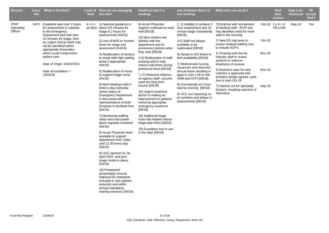| <b>Director</b>               | Ref  | Cross What is the Risk?                                                                                                                                                                                                        | <b>Risk</b> | Level of How are we managing<br>the risk?                                                                                                                                                                                                                                                                                                                                                                                                                                                                                                                                                                                                                              | <b>Evidence that it is</b><br>working.                                                                                                                                                                                                                                                                                                                                                                                                                                                                                                                                                                    | Any Evidence that it is<br>not working.                                                                                                                                                                                                                                                                                                                                                                 | What else can we do?                                                                                                                                                                                                                                                                                                                                                           |                                                    | <b>Risk</b><br>after<br>actions          | <b>Date Last</b><br><b>Reviewed</b> | TB.<br><b>Accept</b><br>Risk? |
|-------------------------------|------|--------------------------------------------------------------------------------------------------------------------------------------------------------------------------------------------------------------------------------|-------------|------------------------------------------------------------------------------------------------------------------------------------------------------------------------------------------------------------------------------------------------------------------------------------------------------------------------------------------------------------------------------------------------------------------------------------------------------------------------------------------------------------------------------------------------------------------------------------------------------------------------------------------------------------------------|-----------------------------------------------------------------------------------------------------------------------------------------------------------------------------------------------------------------------------------------------------------------------------------------------------------------------------------------------------------------------------------------------------------------------------------------------------------------------------------------------------------------------------------------------------------------------------------------------------------|---------------------------------------------------------------------------------------------------------------------------------------------------------------------------------------------------------------------------------------------------------------------------------------------------------------------------------------------------------------------------------------------------------|--------------------------------------------------------------------------------------------------------------------------------------------------------------------------------------------------------------------------------------------------------------------------------------------------------------------------------------------------------------------------------|----------------------------------------------------|------------------------------------------|-------------------------------------|-------------------------------|
| Chief<br>Operating<br>Officer | 4472 | If patients wait over 2 hours<br>for assessment in cubicles<br>in the Emergency<br>Department and wait over                                                                                                                    |             | $4 \times 4 = 1$ ) National guidance in<br>16 RED place (15 minutes for<br>triage & 2 hours for<br>assessment) (04/16)                                                                                                                                                                                                                                                                                                                                                                                                                                                                                                                                                 | 8) Acute Physician<br>support continues to work<br>well [08/18]                                                                                                                                                                                                                                                                                                                                                                                                                                                                                                                                           | 1, 2) Inability to achieve 2<br>hour assessment and 15<br>minute triage consistently<br>[09/18]                                                                                                                                                                                                                                                                                                         | 7) Continue with recruitment<br>of medical staff - ECIP tool<br>has identified need for more<br>staff in the morning                                                                                                                                                                                                                                                           |                                                    | Oct-18 $1 \times 4 = 4$<br><b>YELLOW</b> | Sep-18                              | Yes                           |
|                               |      | 15 minutes for triage, then<br>an urgent clinical need may<br>not be identified within<br>appropriate timescales,<br>which could compromise<br>patient care.<br>Date of Origin: 24/02/2016<br>Date of escalation =<br>15/04/16 |             | 2) Use of MSS to monitor<br>times for triage and<br>assessment (04/16)<br>4) Reallocation of doctors<br>to areas with high waiting<br>times if appropriate<br>(04/16)<br>5) Reallocation of nurse<br>to support triage nurse<br>(04/16)<br>6) Bed meetings held 3<br>times a day everyday<br>where status of<br><b>Emergency Department</b><br>is discussed with<br>representatives of both<br>Divisions to facilitate flow<br>(04/16)<br>7) Monitoring staffing<br>ratios and man-power<br>plans regularly reviewed<br>(04/16)<br>8) Acute Physician team<br>available to support<br>department from 10am<br>until 21.30 every day<br>(04/16)<br>9) UCC opened on 1st | 15) New starters are<br>familiar with the<br>department and its<br>processes/ policies when<br>they start $[09/18]$<br>4-5) Reallocation of staff<br>working well to help<br>reduce wait times during<br>pressured times [09/18]<br>7,17) Reduced reliiance<br>on agency staff. Locums<br>used are long term<br>locums [09/18]<br>16) Urgent treatment<br>doctor is making an<br>improvement to patients<br>recieving appropiate<br>emergency treatment<br>[09/18]<br>18) Additional triage<br>room has helped reduce<br>triage wait times [09/18]<br>19) Escalation tool in use<br>in the dept $(09/18)$ | 4,5) Staff not always<br>available to be<br>reallocated [09/18]<br>6) Delays in ED linked to<br>bed availability [09/18]<br>7) Medical and nursing<br>vacancies and sickness/<br>annual leave resulting in<br>gaps in rota. Link to risk<br>4496 and 2374 [09/18]<br>8) Consistently at 2 hour<br>wait by evening [09/18]<br>9) UCC not impacting on<br>pt numbers and delays in<br>assessments [09/18] | 7) New ED mgt team to<br>review medical staffing rota<br>to include ACP's<br>1) Scoping exercise by<br>industry staff to review<br>systems to improve<br>timeliness of reviews<br>3) Business case for new<br>cubicles is approved and<br>architect design agreed, work<br>due to start Oct 18<br>7) Adverts out for speciality<br>Doctors. Awaiting outcome of<br>interviews. | Oct-18<br><b>Nov-18</b><br><b>Nov-18</b><br>Sep-18 |                                          |                                     |                               |
|                               |      |                                                                                                                                                                                                                                |             | April 2016 and joint<br>triage model in place.<br>(04/16)<br>10) Powerpoint<br>presentation around<br>National ED standards<br>included in new starters<br>induction and within<br>annual mandatory<br>training sessions (04/16)                                                                                                                                                                                                                                                                                                                                                                                                                                       |                                                                                                                                                                                                                                                                                                                                                                                                                                                                                                                                                                                                           |                                                                                                                                                                                                                                                                                                                                                                                                         |                                                                                                                                                                                                                                                                                                                                                                                |                                                    |                                          |                                     |                               |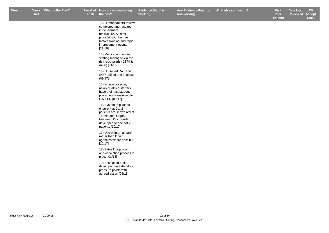**not working.**

**Risk after actions Date Last Reviewed Accept Risk?**

| 11) Human factors review<br>completed and resulted<br>in department<br>restructure. All staff<br>provided with human<br>factors training and rapid<br>improvement events<br>[11/16] |
|-------------------------------------------------------------------------------------------------------------------------------------------------------------------------------------|
| 13) Medical and nurse<br>staffing managed via the<br>risk regsiter (risk 2374 &<br>4496) [11/16]                                                                                    |
| 14) Nurse led RAT and<br>SOP ratified and in place<br>(09/17)                                                                                                                       |
| 15) Where possible,<br>newly qualified starters<br>have their last student<br>placement transferred to<br>RWT ED [09/17]                                                            |
| 16) System in place to<br>ensure that Cat 2<br>patients are shown red at<br>15 minutes. Urgent<br>treatment Doctor role<br>developed to see cat 2<br>patients [10/17]               |
| 17) Use of internal bank<br>rather than locum<br>agencies where possible<br>[10/17]                                                                                                 |
| 18) Extra Triage room<br>and escalation process in<br>place [03/18]                                                                                                                 |
| 19) Escalation tool<br>developed and identifies<br>pressure points with<br>agreed action [08/18]                                                                                    |
|                                                                                                                                                                                     |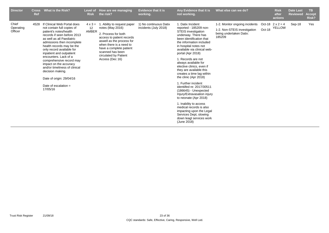| <b>Director</b>               | <b>Cross</b><br><b>Ref</b> | What is the Risk?                                                                                                                                                                                                                                                                                                                                                                                                                                                         | Level of<br><b>Risk</b>       | How are we managing<br>the risk?                                                                                                                                                                                                                             | <b>Evidence that it is</b><br>working.          | Any Evidence that it is<br>not working.                                                                                                                                                                                                                                                                                                                                                                                                                                                                                                                                                                                                                                                        | What else can we do?                                                                                | <b>Risk</b><br>after<br>actions          | <b>Date Last</b><br><b>Reviewed</b> | <b>TB</b><br>Accept,<br>Risk? |
|-------------------------------|----------------------------|---------------------------------------------------------------------------------------------------------------------------------------------------------------------------------------------------------------------------------------------------------------------------------------------------------------------------------------------------------------------------------------------------------------------------------------------------------------------------|-------------------------------|--------------------------------------------------------------------------------------------------------------------------------------------------------------------------------------------------------------------------------------------------------------|-------------------------------------------------|------------------------------------------------------------------------------------------------------------------------------------------------------------------------------------------------------------------------------------------------------------------------------------------------------------------------------------------------------------------------------------------------------------------------------------------------------------------------------------------------------------------------------------------------------------------------------------------------------------------------------------------------------------------------------------------------|-----------------------------------------------------------------------------------------------------|------------------------------------------|-------------------------------------|-------------------------------|
| Chief<br>Operating<br>Officer | 4528                       | If Clinical Web Portal does<br>not contain full copies of<br>patient's notes/health<br>records if seen before 2013<br>as well as all Paediatric<br>admissions then incomplete<br>health records may be the<br>only record available for<br>inpatient and outpatient<br>encounters. Lack of a<br>comprehensive record may<br>impact on the accuracy<br>and/or timeliness of clinical<br>decision making.<br>Date of origin: 29/04/16<br>Date of escalation $=$<br>17/05/16 | $4 \times 3 =$<br>12<br>AMBER | . Ability to request paper<br>- 1<br>notes (May 2016)<br>2. Process for both<br>access to patient records<br>aswell as the process for<br>when there is a need to<br>have a complete patient<br>scanned has been<br>circulated by Patient<br>Access (Dec 16) | 1) No continuous Datix<br>incidents (July 2018) | 1. Datix Incident<br>reported - 185209 non-<br><b>STEIS</b> investigation<br>underway. There has<br>been identification that<br>the information included<br>in hospital notes not<br>available via clinical web-<br>portal (Apr 2018)<br>1. Records are not<br>always available for<br>elective clinics, even if<br>they are available this<br>creates a time lag within<br>the clinic (Apr 2018)<br>1. Further incident<br>identiifed re: 2017/30511<br>$(186645)$ - Unexpected<br>Injury/Extravasation injury<br>to neonate (Apr 2018)<br>1. Inability to access<br>medical records is also<br>impacting upon the Legal<br>Services Dept, slowing<br>down leagl services work<br>(June 2018) | 1-2. Monitor ongoing incidents<br>1-2. Non-STEIS investigation<br>being undertaken Datix:<br>185209 | Oct-18 $2 \times 2 = 4$<br>Oct-18 YELLOW | Sep-18                              | Yes                           |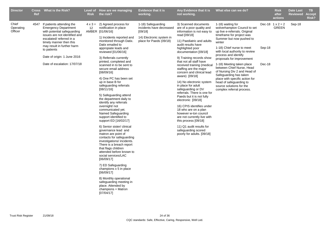| <b>Director</b>               | <b>Cross</b><br><b>Ref</b> | <b>What is the Risk?</b>                                                                                                                                                                                                                                                                   | <b>Risk</b> | Level of How are we managing<br>the risk?                                                                                                                                                                                                                                                                                                                                                                                                                                                                                                                                                                                                                                                                                                                                                                                                                                                                                                                                                                                                                        | <b>Evidence that it is</b><br>working.                                                                           | Any Evidence that it is<br>not working.                                                                                                                                                                                                                                                                                                                                                                                                                                                                                                                                                                                                                                                                                                       | What else can we do?                                                                                                                                                                                                                                                                                                                                                                                                                                                                                                |                  | <b>Risk</b><br>after<br>actions         | <b>Date Last</b><br><b>Reviewed</b> | <b>TB</b><br><b>Accept</b><br>Risk? |
|-------------------------------|----------------------------|--------------------------------------------------------------------------------------------------------------------------------------------------------------------------------------------------------------------------------------------------------------------------------------------|-------------|------------------------------------------------------------------------------------------------------------------------------------------------------------------------------------------------------------------------------------------------------------------------------------------------------------------------------------------------------------------------------------------------------------------------------------------------------------------------------------------------------------------------------------------------------------------------------------------------------------------------------------------------------------------------------------------------------------------------------------------------------------------------------------------------------------------------------------------------------------------------------------------------------------------------------------------------------------------------------------------------------------------------------------------------------------------|------------------------------------------------------------------------------------------------------------------|-----------------------------------------------------------------------------------------------------------------------------------------------------------------------------------------------------------------------------------------------------------------------------------------------------------------------------------------------------------------------------------------------------------------------------------------------------------------------------------------------------------------------------------------------------------------------------------------------------------------------------------------------------------------------------------------------------------------------------------------------|---------------------------------------------------------------------------------------------------------------------------------------------------------------------------------------------------------------------------------------------------------------------------------------------------------------------------------------------------------------------------------------------------------------------------------------------------------------------------------------------------------------------|------------------|-----------------------------------------|-------------------------------------|-------------------------------------|
| Chief<br>Operating<br>Officer | 4547                       | If patients attending the<br><b>Emergency Department</b><br>with potential safeguarding<br>issues are not identified and<br>escalated/referred in a<br>timely manner then this<br>may result in further harm<br>to patients<br>Date of origin: 1 June 2016<br>Date of escalation: 17/07/18 | 12          | $4 \times 3 = 2$ ) Agreed process for<br>notification in place<br>AMBER [01/06/16]<br>1) Incidents reported and<br>monitored through Datix.<br>Datix emailed to<br>appropiate leads and<br>reviewed [01/06/16]<br>3) Referrals currently<br>printed, completed and<br>scanned in to be sent to<br>secure email address<br>[08/09/16]<br>4) One PC has been set<br>up in base B for<br>safeguarding referrals<br>[08/11/16]<br>5) Safeguarding attend<br>the department daily to<br>identify any referrals<br>overnight/ not<br>communicated yet.<br>Named Safeguarding<br>support identified to<br>support ED [16/02/17]<br>6) Senior sister/ clinical<br>governance lead and<br>matron are point of<br>contacts for safeguarding<br>investigations/ incidents.<br>There is a breach report<br>that flags children<br>attended before known to<br>social services/LAC<br>[06/09/17]<br>7) ED Safeguarding<br>champions x 5 in place<br>[06/09/17]<br>8) Monthly operational<br>safeguarding meeting in<br>place. Attended by<br>champions + Matron<br>[07/04/17] | 1-18) Safeguarding<br>incidents have decreased<br>[09/18]<br>14) Electronic system in<br>place for Paeds (09/18) | 3) Scanned documents<br>are of a poor quality and<br>information is not easy to<br>read [09/18]<br>11) Paediatric and adults<br>audit results have<br>highlighted poor<br>documentation [09/18]<br>9) Training records show<br>that not all staff have<br>received training (medical<br>staffing are the major<br>concern and clinical lead<br>aware) [09/18]<br>14) No electronic system<br>in place for adult<br>safeguarding or DV<br>referrals. There is one for<br>Paeds but it is not fully<br>electronic [09/18]<br>16) CPIS identifies under<br>18 who are on a plan<br>however w-ton council<br>are not currently live with<br>this process [09/18]<br>11) Q1 audit results for<br>safeguarding scored<br>poorly for adults. [09/18] | 1-18) waiting for<br>wolverhampton Council to set<br>up live e-referrals. Original<br>timeframe for project was<br>Summer but now pushed to<br>winter<br>1-18) Chief nurse to meet<br>with local authority to review<br>process and identify<br>proposals for improvement<br>1-18) Meeting taken place<br>between Chief Nurse, Head<br>of Nursing Div 2 and Head of<br>Safeguarding has taken<br>place with specific action for<br>head of safeguarding to<br>source solutions for the<br>complex referral process. | Sep-18<br>Dec-18 | Dec-18 $1 \times 2 = 2$<br><b>GREEN</b> | Sep-18                              |                                     |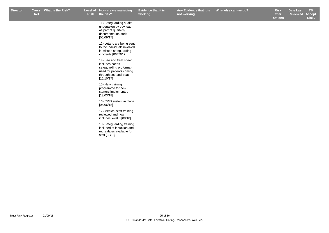**Any Evidence that it is not working.**

11) Safeguarding audits undertaken by gov lead as part of quarterly documentation audit [06/09/17]

12) Letters are being sent to the individuals involved in missed safeguarding incidents [06/09/17]

14) See and treat sheet includes paeds safeguarding proforma used for patients coming through see and treat [15/10/17]

15) New training programme for new starters implemented [13/03/18]

16) CPIS system in place [06/06/18]

17) Medical staff training reviewed and now includes level 3 [08/18]

18) Safeguarding training included at induction and more dates available for staff [08/18]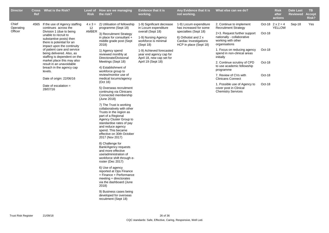| <b>Director</b>               | <b>Ref</b> | Cross What is the Risk?                                                                                                                                                                                                                                                                                                                                                                                                                                        | <b>Risk</b> | Level of How are we managing<br>the risk?                                                                                                                                                                                                                                                                                                                                                                                                                                                                                                                                                                                                                                                                                                                                                                                                                                                                                                                                                                                                       | Evidence that it is<br>working.                                                                                                                                                                                                              | Any Evidence that it is<br>not working.                                                                                                               | What else can we do?                                                                                                                                                                                                                                                                                                                                                                                                                                          |                                                | <b>Risk</b><br>after<br>actions          | <b>Date Last</b><br><b>Reviewed</b> | TB.<br><b>Accept</b><br><b>Risk?</b> |
|-------------------------------|------------|----------------------------------------------------------------------------------------------------------------------------------------------------------------------------------------------------------------------------------------------------------------------------------------------------------------------------------------------------------------------------------------------------------------------------------------------------------------|-------------|-------------------------------------------------------------------------------------------------------------------------------------------------------------------------------------------------------------------------------------------------------------------------------------------------------------------------------------------------------------------------------------------------------------------------------------------------------------------------------------------------------------------------------------------------------------------------------------------------------------------------------------------------------------------------------------------------------------------------------------------------------------------------------------------------------------------------------------------------------------------------------------------------------------------------------------------------------------------------------------------------------------------------------------------------|----------------------------------------------------------------------------------------------------------------------------------------------------------------------------------------------------------------------------------------------|-------------------------------------------------------------------------------------------------------------------------------------------------------|---------------------------------------------------------------------------------------------------------------------------------------------------------------------------------------------------------------------------------------------------------------------------------------------------------------------------------------------------------------------------------------------------------------------------------------------------------------|------------------------------------------------|------------------------------------------|-------------------------------------|--------------------------------------|
| Chief<br>Operating<br>Officer | 4565       | If the use of Agency staffing<br>continues across the<br>Division 1 (due to being<br>unable to recruit to<br>substantive posts) then<br>there is potential for an<br>impact upon the continuity<br>of patient care and service<br>being delivered. Also, as<br>staffing is dependent on the<br>market place this may also<br>result in an unavoidable<br>breach in the agency cap<br>levels.<br>Date of origin: 22/06/16<br>Date of escalation $=$<br>28/07/16 | 12<br>AMBER | $4 \times 3 = 2$ ) Utilisation of fellowship<br>programme (Sept 18)<br>3) Recruitment Strategy<br>in place for consultant +<br>middle grade post (Sept<br>2018)<br>1) Agency spend<br>reviewed monthly at<br>Directorate/Divisional<br>Meetings (Sept 18)<br>4) Establishment of<br>workforce group to<br>review/monitor use of<br>medical locums/agency<br>(Oct 16)<br>5) Overseas recruitment<br>continuing via Clinicans<br>Connected membership<br>(June 2018)<br>7) The Trust is working<br>collaboratively with other<br>Trusts in the region as<br>part of a Regional<br>Agency Cluster Group to<br>standardise rates of pay<br>and reduce agency<br>spend. This became<br>effective on 30th October<br>2017 (Nov 2017)<br>8) Challenge for<br>Bank/Agency requests<br>and more effective<br>use/administration of<br>workforce shift through e-<br>roster (Dec 2017)<br>6) Use of agency<br>reported at Ops Finance<br>+ Finance + Performance<br>meeting + directorates<br>via the dashboard (June<br>2018)<br>9) Business cases being | 1-9) Significant decrease<br>in Locum expenditure<br>overall (Sept 18)<br>1-9) Nursing Agency<br>workforce is minimal<br>(Sept 18)<br>1-9) Achieved forecasted<br>year end agency cap for<br>April 18, new cap set for<br>April 19 (Sept 18) | 1-9) Locum expenditure<br>has increased for some<br>specialties (Sept 18)<br>6) Orthotist and 2 x<br>Cardiac Investigations<br>HCP in place (Sept 18) | 2. Continue to implement<br><b>Recruitment Strategy</b><br>2+3. Request further support<br>nationally - collaborative<br>working with other<br>organisations<br>1. Focus on reducing agency<br>spend in non-clinical areas<br>initially<br>2. Continue scrutiny of CPD<br>to use academic fellowship<br>programme<br>7. Review of CVs with<br><b>Clinicans Connect</b><br>1. Possible use of Agency to<br>cover post in Clinical<br><b>Chemistry Services</b> | Oct-18<br>Oct-18<br>Oct-18<br>Oct-18<br>Oct-18 | Oct-18 $2 \times 2 = 4$<br><b>YELLOW</b> | Sep-18                              | Yes                                  |
|                               |            |                                                                                                                                                                                                                                                                                                                                                                                                                                                                |             | developed for overseas<br>recuitment (Sept 18)                                                                                                                                                                                                                                                                                                                                                                                                                                                                                                                                                                                                                                                                                                                                                                                                                                                                                                                                                                                                  |                                                                                                                                                                                                                                              |                                                                                                                                                       |                                                                                                                                                                                                                                                                                                                                                                                                                                                               |                                                |                                          |                                     |                                      |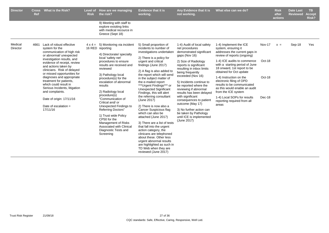| <b>Director</b>     | Cross<br>Ref | <b>What is the Risk?</b>                                                                                                                                                                                                                                                                                                                                                                                                                                      | Level of<br><b>Risk</b> | How are we managing<br>the risk?                                                                                                                                                                                                                                                                                                                                                                                                                                                                                                                 | <b>Evidence that it is</b><br>working.                                                                                                                                                                                                                                                                                                                                                                                                                                                                                                                                                                                                                                                                                                                             | Any Evidence that it is<br>not working.                                                                                                                                                                                                                                                                                                                                                                                                                                                        | What else can we do?                                                                                                                                                                                                                                                                                                                                                                                                                                         |                                             | <b>Risk</b><br>after<br>actions | <b>Date Last</b><br><b>Reviewed</b> | <b>TB</b><br><b>Accept</b><br>Risk? |
|---------------------|--------------|---------------------------------------------------------------------------------------------------------------------------------------------------------------------------------------------------------------------------------------------------------------------------------------------------------------------------------------------------------------------------------------------------------------------------------------------------------------|-------------------------|--------------------------------------------------------------------------------------------------------------------------------------------------------------------------------------------------------------------------------------------------------------------------------------------------------------------------------------------------------------------------------------------------------------------------------------------------------------------------------------------------------------------------------------------------|--------------------------------------------------------------------------------------------------------------------------------------------------------------------------------------------------------------------------------------------------------------------------------------------------------------------------------------------------------------------------------------------------------------------------------------------------------------------------------------------------------------------------------------------------------------------------------------------------------------------------------------------------------------------------------------------------------------------------------------------------------------------|------------------------------------------------------------------------------------------------------------------------------------------------------------------------------------------------------------------------------------------------------------------------------------------------------------------------------------------------------------------------------------------------------------------------------------------------------------------------------------------------|--------------------------------------------------------------------------------------------------------------------------------------------------------------------------------------------------------------------------------------------------------------------------------------------------------------------------------------------------------------------------------------------------------------------------------------------------------------|---------------------------------------------|---------------------------------|-------------------------------------|-------------------------------------|
|                     |              |                                                                                                                                                                                                                                                                                                                                                                                                                                                               |                         | 9) Meeting with staff to<br>explore exisiting links<br>with medical recource in<br>Greece (Sept 18)                                                                                                                                                                                                                                                                                                                                                                                                                                              |                                                                                                                                                                                                                                                                                                                                                                                                                                                                                                                                                                                                                                                                                                                                                                    |                                                                                                                                                                                                                                                                                                                                                                                                                                                                                                |                                                                                                                                                                                                                                                                                                                                                                                                                                                              |                                             |                                 |                                     |                                     |
| Medical<br>Director | 4661         | Lack of robust effective<br>system for the<br>communication of high risk<br>or abnormal/ unexpected<br>investigation results, and<br>evidence of receipt, review<br>and actions taken by<br>clinicians. Risk of delayed<br>or missed opportunities for<br>diagnoses and appropriate<br>treatment for patients,<br>which could result in<br>Serious Incidents, litigation<br>and complaints.<br>Date of origin: 17/11/16<br>Date of escalation $=$<br>17/11/16 |                         | $4 \times 4 = 5$ ) Monitoring via incident<br>16 RED reporting<br>4) Directorate/ specialty<br>local 'safety net'<br>procedures to ensure<br>results are received and<br>reviewed<br>3) Pathology local<br>procedure(s) for the<br>escalation of abnormal<br>results<br>2) Radiology local<br>procedure(s)<br>"Communication of<br>Critical and/or<br>Unexpected Findings to<br><b>Referring Doctors"</b><br>1) Trust wide Policy<br>CP50 for the<br><b>Management of Risks</b><br>Associated with Clinical<br>Diagnostic Tests and<br>Screening | 5) Small proportion of<br>incidents to number of<br>investigations undertaken<br>2) There is a policy for<br>urgent and critical<br>findings (June 2017)<br>2) A flag is also added to<br>the report which will send<br>in the subject matter of<br>the e-mailed report<br>***Urgent Findings*** or<br><b>Unexpected Significant</b><br>Findings, this will alert<br>the referring consultant<br>(June 2017)<br>2) There is now also a<br>Cancer Suspicious flag<br>which can also be<br>attached (June 2017)<br>3) There are a list of tests<br>that fall into the urgent<br>action category, the<br>clinicans are telephoned<br>about these. Other less<br>urgent abnormal results<br>are highlighted as such in<br>TD Web when they are<br>reviewed (June 2017) | 1-4) Audit of local safety<br>net procedures<br>demonstrated significant<br>gaps (Nov 16)<br>2) Size of Radiology<br>reports is significant<br>resulting in inbox limits<br>being frequently<br>exceeded (Nov 16)<br>5) Incidents continue to<br>be reported where the<br>reviewing if abnormal<br>results has been delayed<br>with significant<br>consequences to patient<br>outcome (May 17)<br>3) No further action can<br>be taken by Pathology<br>until ICE is implemented<br>(June 2017) | 1-4) Implement the ICE<br>system, ensuring it<br>addresses the current gaps in<br>review of reports (ongoing)<br>1-4) ICE audits to commence<br>with a starting period of June<br>18 onward, 1st report to be<br>obtained for Oct update<br>1-4) Instruction on the<br>electronic filing of OPD<br>results to be communicated<br>as this would enable an audit<br>from the ICE system<br>1-4) Local SOPs for results<br>reporting required from all<br>areas | <b>Nov-17</b><br>Oct-18<br>Oct-18<br>Dec-18 | $x =$                           | Sep-18                              | Yes                                 |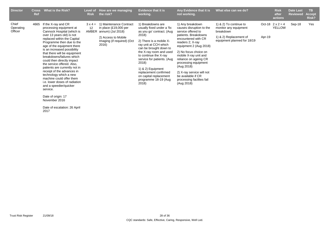| <b>Director</b>               | <b>Cross</b><br>Ref | What is the Risk?                                                                                                                                                                                                                                                                                                                                                                                                                                                                                                                                                                              | Level of<br><b>Risk</b> | How are we managing<br>the risk?                                                                                                            | <b>Evidence that it is</b><br>working.                                                                                                                                                                                                                                                                                                                                    | Any Evidence that it is<br>not working.                                                                                                                                                                                                                                                                                                                                        | What else can we do?                                                                                                  |        | <b>Risk</b><br>after<br>actions          | <b>Date Last</b><br><b>Reviewed</b> | ΤВ<br><b>Accept</b><br>Risk? |
|-------------------------------|---------------------|------------------------------------------------------------------------------------------------------------------------------------------------------------------------------------------------------------------------------------------------------------------------------------------------------------------------------------------------------------------------------------------------------------------------------------------------------------------------------------------------------------------------------------------------------------------------------------------------|-------------------------|---------------------------------------------------------------------------------------------------------------------------------------------|---------------------------------------------------------------------------------------------------------------------------------------------------------------------------------------------------------------------------------------------------------------------------------------------------------------------------------------------------------------------------|--------------------------------------------------------------------------------------------------------------------------------------------------------------------------------------------------------------------------------------------------------------------------------------------------------------------------------------------------------------------------------|-----------------------------------------------------------------------------------------------------------------------|--------|------------------------------------------|-------------------------------------|------------------------------|
| Chief<br>Operating<br>Officer | 4665                | If the X-ray and CR<br>processing equipment at<br>Cannock Hospital (which is<br>over 13 years old) is not<br>replaced within the Capital<br>Programme then due to the<br>age of the equipment there<br>is an increased possibility<br>that there will be equipment<br>breakdowns/failures which<br>could then directly impact<br>the service offered. Also,<br>patients are currently not in<br>receipt of the advances in<br>technology which a new<br>machine could offer them<br>i.e. lower doses of radiation<br>and a speedier/quicker<br>service.<br>Date of origin: 17<br>November 2016 | $3 \times 4 =$<br>12    | 1) Maintenance Contract<br>in place $(E19,000$ per<br>AMBER annum) (Jul 2018)<br>2) Access to Mobile<br>Imaging (if required) (Oct<br>2016) | 1) Breakdowns are<br>usually fixed under a 'fix<br>as you go' contract. (Aug.<br>2018)<br>2) There is a mobile X-<br>ray unit at CCH which<br>can be brought down to<br>the X-ray room and used<br>to continue the X-ray<br>service for patients. (Aug.<br>2018)<br>1) & 2) Equipment<br>replacement confirmed<br>on capital replacement<br>programme 18-19 (Aug<br>2018) | 1) Any breakdown<br>causes disruption to the<br>service offered to<br>patients. Breakdowns<br>encountered with CR<br>readers 2; X-ray<br>equipment 2 (Aug 2018)<br>2) No focus choice on<br>mobile X-ray unit and<br>reliance on ageing CR<br>processing equipment<br>(Aug 2018)<br>2) X-ray service will not<br>be available if CR<br>processing facilites fail<br>(Aug 2018) | 1) & 2) To continue to<br>monitor any equipment<br>breakdown<br>1) & 2) Replacement of<br>equipment planned for 18/19 | Apr-19 | Oct-18 $2 \times 2 = 4$<br><b>YELLOW</b> | Sep-18                              | Yes                          |

Date of escalation: 26 April 2017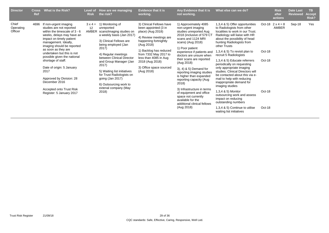| <b>Director</b>               | <b>Cross</b><br>Ref | What is the Risk?                                                                                                                                                                                                                                                                                                                                                                                                                                       | Level of<br><b>Risk</b> | How are we managing<br>the risk?                                                                                                                                                                                                                                                                                                                                                                 | <b>Evidence that it is</b><br>working.                                                                                                                                                                                                                                         | Any Evidence that it is<br>not working.                                                                                                                                                                                                                                                                                                                                                                                                                                                                                                      | What else can we do?                                                                                                                                                                                                                                                                                                                                                                                                                                                                                                                                                                                                                                                                    |                                      | <b>Risk</b><br>after<br>actions  | <b>Date Last</b><br><b>Reviewed</b> | <b>TB</b><br><b>Accept</b><br>Risk? |
|-------------------------------|---------------------|---------------------------------------------------------------------------------------------------------------------------------------------------------------------------------------------------------------------------------------------------------------------------------------------------------------------------------------------------------------------------------------------------------------------------------------------------------|-------------------------|--------------------------------------------------------------------------------------------------------------------------------------------------------------------------------------------------------------------------------------------------------------------------------------------------------------------------------------------------------------------------------------------------|--------------------------------------------------------------------------------------------------------------------------------------------------------------------------------------------------------------------------------------------------------------------------------|----------------------------------------------------------------------------------------------------------------------------------------------------------------------------------------------------------------------------------------------------------------------------------------------------------------------------------------------------------------------------------------------------------------------------------------------------------------------------------------------------------------------------------------------|-----------------------------------------------------------------------------------------------------------------------------------------------------------------------------------------------------------------------------------------------------------------------------------------------------------------------------------------------------------------------------------------------------------------------------------------------------------------------------------------------------------------------------------------------------------------------------------------------------------------------------------------------------------------------------------------|--------------------------------------|----------------------------------|-------------------------------------|-------------------------------------|
| Chief<br>Operating<br>Officer | 4696                | If non-urgent imaging<br>studies are not reported<br>within the timescale of $3 - 6$<br>weeks, delays may have an<br>impact on timely patient<br>management. Ideally,<br>imaging should be reported<br>as soon as they are<br>undertaken but this is not<br>possible given the national<br>shortage of staff.<br>Date of origin: 5 January<br>2017<br>Approved by Division: 28<br>December 2016<br>Accepted onto Trust Risk<br>Register: 5 January 2017 | $3 \times 4 =$<br>12    | 1) Monitoring of<br>unreported<br>AMBER scans/imaging studies on<br>a weekly basis (Jan 2017)<br>3) Clinical Fellows are<br>being employed (Jan<br>2017)<br>4) Regular meetings<br>between Clinical Director<br>and Group Manager (Jan<br>2017)<br>5) Waiting list initiatives<br>for Trust Radiologists on<br>going $($ Jan 2017 $)$<br>6) Outsourcing work to<br>extenal company (May<br>2018) | 3) Clinical Fellows have<br>been appointed (3 in<br>place) (Aug 2018)<br>4) Review meetings are<br>happening fortnightly<br>(Aug 2018)<br>1) Backlog has reduced<br>from 7332 May 2017 to<br>less than 4085 in Aug<br>2018 (Aug 2018)<br>3) Office space sourced<br>(Aug 2018) | 1) Approximately 4085<br>non-urgent imaging<br>studies unreported Aug<br>2018 (inclusive of 579 CT<br>scans and 1124 MRI<br>scans) (Aug 2018)<br>1) Poor patient<br>experience if patients and<br>doctors are unsure when<br>their scans are reported<br>(Aug 2018)<br>3), 4) & 5) Demand for<br>reporting imaging studies<br>is higher than expanded<br>reporting capacity (Aug.<br>2018)<br>3) Infrastructure in terms<br>of equipment and office<br>space not currently<br>available for the<br>additional clinical fellows<br>(Aug 2018) | 1,3,4 & 5) Offer opportunities<br>to Radiologists from other<br>localities to work in our Trust.<br>Radiology will liaise with HR<br>about the possibility of head<br>hunting Radiologists from<br>other Trusts<br>1,3,4 & 5) To revisit plan to<br>recruit 5 Radiologists<br>1,3,4 & 5) Educate referrers<br>periodically on requesting<br>only appropriate imaging<br>studies. Clinical Directors will<br>be contacted about this via e-<br>mail to help with reducing<br>inappropriate demand for<br>imaging studies<br>1,3,4 & 5) Monitor<br>outsourcing work and assess<br>impact on reducing<br>outstanding numbers<br>1,3,4 & 5) Continue to utilise<br>waiting list initiatives | Oct-18<br>Oct-18<br>Oct-18<br>Oct-18 | Oct-18 $2 \times 4 = 8$<br>AMBER | Sep-18                              | Yes                                 |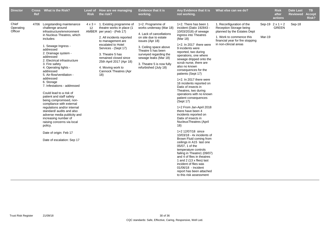| <b>Director</b>               | Ref | Cross What is the Risk?                                                                                                                                                                                                                                                                                                                                                                                                                                                                                                                                                                                                                                                                                              | <b>Risk</b> | Level of How are we managing<br>the risk?                                                                                                                                                                                                                                                                                         | <b>Evidence that it is</b><br>working.                                                                                                                                                                                                                                        | Any Evidence that it is<br>not working.                                                                                                                                                                                                                                                                                                                                                                                                                                                                                                                                                                                                                                                                                                                                                                                                                                                                                                                                                                   | What else can we do?                                                                                                                                                         |        | <b>Risk</b><br>after<br>actions         | <b>Date Last</b><br><b>Reviewed</b> | <b>TB</b><br><b>Accept</b><br>Risk? |
|-------------------------------|-----|----------------------------------------------------------------------------------------------------------------------------------------------------------------------------------------------------------------------------------------------------------------------------------------------------------------------------------------------------------------------------------------------------------------------------------------------------------------------------------------------------------------------------------------------------------------------------------------------------------------------------------------------------------------------------------------------------------------------|-------------|-----------------------------------------------------------------------------------------------------------------------------------------------------------------------------------------------------------------------------------------------------------------------------------------------------------------------------------|-------------------------------------------------------------------------------------------------------------------------------------------------------------------------------------------------------------------------------------------------------------------------------|-----------------------------------------------------------------------------------------------------------------------------------------------------------------------------------------------------------------------------------------------------------------------------------------------------------------------------------------------------------------------------------------------------------------------------------------------------------------------------------------------------------------------------------------------------------------------------------------------------------------------------------------------------------------------------------------------------------------------------------------------------------------------------------------------------------------------------------------------------------------------------------------------------------------------------------------------------------------------------------------------------------|------------------------------------------------------------------------------------------------------------------------------------------------------------------------------|--------|-----------------------------------------|-------------------------------------|-------------------------------------|
| Chief<br>Operating<br>Officer |     | 4706 Longstanding maintenance<br>challenge around<br>infrastructure/environment<br>in Nucleus Theatres, which<br>includes:<br>1. Sewage Ingress -<br>addressed<br>2. Drainage system -<br>addressed<br>2. Electrical infrastructure<br>3. Fire safety<br>4. Operating lights -<br>addressed<br>5. Air-flow/ventilation -<br>addressed<br>6. Storage<br>7. Infestations - addressed<br>Could lead to a risk of<br>patient and staff safety<br>being compromised, non-<br>compliance with external<br>regulations and/or internal<br>standard/ audits and also<br>adverse media publicity and<br>increasing number of<br>raising concerns via local<br>policy.<br>Date of origin: Feb 17<br>Date of escalation: Sep 17 | 12          | $4 \times 3 = 1$ . Existing programme of<br>theatre works in place (1<br>AMBER per year) - (Feb 17)<br>2. All incidents reported<br>to management are<br>escalated to Hotel<br>Services - (Sept 17)<br>3. Theatre 5 has<br>remained closed since<br>25th April 2017 (Apr 18)<br>4. Moving work to<br>Cannock Theatres (Apr<br>18) | 1+2. Programme of<br>works underway (Mar 18)<br>4. Lack of cancellations<br>on site due to estate<br>issues (Apr 18)<br>3. Ceiling space above<br>Theatre 5 has been<br>surveyed regarding the<br>sewage leaks (Mar 18)<br>3. Theatre 5 is now fully<br>refurbished (July 18) | 1+2. There has been 1<br>incident (Datix 192843 -<br>10/03/2018) of sewage<br>ingress into Theatres<br>(Mar 18)<br>1+2. In 2017 there were<br>9 incidents were<br>reported, two during<br>operations, one where<br>sewage dripped onto the<br>scrub nurse, there are<br>also no known<br>consequences for the<br>patients (Sept 17)<br>1+2. In 2017 there were<br>16 incidents reported on<br>Datix of insects in<br>Theatres, two during<br>operations with no known<br>patient consequences<br>(Sept 17)<br>1+2 From Jan-April 2018<br>there have been 4<br>incidents reported on<br>Datix of insects in<br><b>NucleusTheatres (April</b><br>18)<br>1+2 12/07/18 since<br>10/03/18 - 4x incidents of<br>Brown Fluid coming from<br>ceilings in A15 last one<br>05/07, 1 of the<br>temperature controls<br>failing in Theatre1 (09/07)<br>and 4 of flies in theatres<br>1 and 2 (13 x flies) last<br>incident of flies was<br>01/06/18 - Incident<br>report has been attached<br>to this risk assessment | 1. Reconfiguration of the<br>Reception Storage being<br>planned by the Estates Dept<br>1. Work to commence this<br>financial year for fire stopping<br>in non-clincial areas | Mar-19 | Sep-19 $2 \times 1 = 2$<br><b>GREEN</b> | Sep-18                              |                                     |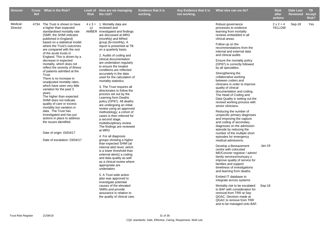| <b>Director</b>     | <b>Ref</b> | Cross What is the Risk?                                                                                                                                                                                                                                                                                                                                                                                                                                                                                                                                                                                                                                                                                                                                                                                                                                      | <b>Risk</b> | Level of How are we managing<br>the risk?                                                                                                                                                                                                                                                                                                                                                                                                                                                                                                                                                                                                                                                                                                                                                                                                                                                                                                                                                                                                                                                                                                     | <b>Evidence that it is</b><br>working. | Any Evidence that it is<br>not working. | What else can we do?                                                                                                                                                                                                                                                                                                                                                                                                                                                                                                                                                                                                                                                                                                                                                                                                                                                                                                                                                                                                                                                                                                                                                                  |                    | <b>Risk</b><br>after<br>actions   | <b>Date Last</b><br><b>Reviewed</b> | TB.<br><b>Accept</b><br>Risk? |
|---------------------|------------|--------------------------------------------------------------------------------------------------------------------------------------------------------------------------------------------------------------------------------------------------------------------------------------------------------------------------------------------------------------------------------------------------------------------------------------------------------------------------------------------------------------------------------------------------------------------------------------------------------------------------------------------------------------------------------------------------------------------------------------------------------------------------------------------------------------------------------------------------------------|-------------|-----------------------------------------------------------------------------------------------------------------------------------------------------------------------------------------------------------------------------------------------------------------------------------------------------------------------------------------------------------------------------------------------------------------------------------------------------------------------------------------------------------------------------------------------------------------------------------------------------------------------------------------------------------------------------------------------------------------------------------------------------------------------------------------------------------------------------------------------------------------------------------------------------------------------------------------------------------------------------------------------------------------------------------------------------------------------------------------------------------------------------------------------|----------------------------------------|-----------------------------------------|---------------------------------------------------------------------------------------------------------------------------------------------------------------------------------------------------------------------------------------------------------------------------------------------------------------------------------------------------------------------------------------------------------------------------------------------------------------------------------------------------------------------------------------------------------------------------------------------------------------------------------------------------------------------------------------------------------------------------------------------------------------------------------------------------------------------------------------------------------------------------------------------------------------------------------------------------------------------------------------------------------------------------------------------------------------------------------------------------------------------------------------------------------------------------------------|--------------------|-----------------------------------|-------------------------------------|-------------------------------|
| Medical<br>Director |            | 4734 The Trust is shown to have<br>a higher than expected<br>standardised mortality rate<br>(SMR; the SHMI indicator<br>published in England)<br>based on a statistical model<br>where the Trust's outcomes<br>are compared with the rest<br>of the acute trusts in<br>England. This is driven by a<br>decrease in expected<br>mortality, which does not<br>reflect the severity of illness<br>of patients admitted at the<br>Trust.<br>There is no increase in<br>unadjusted mortality rates,<br>which have seen very little<br>variation for the past 3<br>years.<br>The higher than expected<br>SHMI does not indicate<br>quality of care or excess<br>mortality but variation in<br>data. The Trust has<br>investigated and has put<br>actions in place to address<br>the issues identified.<br>Date of origin: 03/04/17<br>Date of escalation: 03/04/17 | 12          | $4 \times 3 = 1$ . Mortality data are<br>reviewed and<br>AMBER investigated and findings<br>are discussed at MRG<br>(monthly) and MRed<br>group (bi-monthly). A<br>report is presented at TB<br>on a quarterly basis.<br>2. Audits of coding and<br>clinical documentation<br>are undertaken regularly<br>to ensure the treated<br>conditions are reflected<br>accurately in the data<br>used for the calculation of<br>mortality statistics<br>3. The Trust requires all<br>directorates to follow the<br>process set out by the<br>Learning form Deaths<br>policy (OP87). All deaths<br>are undergoing an initial<br>review using an approved<br>methodology; a cohort of<br>cases is then referred for<br>a second stage,<br>multidisciplinary review.<br>The findings are reviewed<br>at MRG<br>4. For all diagnosis<br>groups showing a higher<br>than expected SHMI (at<br>internal alert level, which<br>is a lower threshold than<br>external alerts) a coding<br>and data quality as well<br>as a clinical review where<br>appropriate are<br>undertaken.<br>5. A Trust wide action<br>plan was approved to<br>investigate potential |                                        |                                         | Robust governance<br>processes to evidence<br>learning from mortality<br>reviews embedded in all<br>clinical areas.<br>Follow up on the<br>recommendations from the<br>internal and external data<br>and clinical audits<br>Ensure the mortality policy<br>(OP87) is correctly followed<br>by all specialties.<br>Strengthening the<br>collaborative working<br>between coders and<br>clinicians in order to improve<br>quality of clinical<br>documentation and coding.<br>The Head of Coding and<br>Data Quality is setting out the<br>revised working process with<br>senior clinicians.<br>Reducing the number of<br>unspecific primary diagnoses<br>and imrpoving the capture<br>and coding of secondary<br>diagnoses on the admission<br>episode by reducing the<br>number of the multiple short<br>episodes for emergency<br>medical admissions.<br>Develop a Bereavement<br>centre with colocoted<br>ME/Coroner registrar / admin/<br>family services/mortuary o<br>improve quality of service for<br>families and support<br>timeliness of investigations<br>and learning from deaths.<br>Embed IT database to<br>integrate across systems<br>Mortality risk to be escalated | $Jan-19$<br>Sep-18 | $2 \times 2 = 4$<br><b>YELLOW</b> | Sep-18                              | Yes                           |
|                     |            |                                                                                                                                                                                                                                                                                                                                                                                                                                                                                                                                                                                                                                                                                                                                                                                                                                                              |             | causes of the elevated<br>SMRs and provide<br>assurance in relation to<br>the quality of clinical care.                                                                                                                                                                                                                                                                                                                                                                                                                                                                                                                                                                                                                                                                                                                                                                                                                                                                                                                                                                                                                                       |                                        |                                         | to BAF with consideration for<br>removal from TRR at Sep<br>QGAC. Decision made at<br>QGAC to remove from TRR<br>and to be managed onto BAF.                                                                                                                                                                                                                                                                                                                                                                                                                                                                                                                                                                                                                                                                                                                                                                                                                                                                                                                                                                                                                                          |                    |                                   |                                     |                               |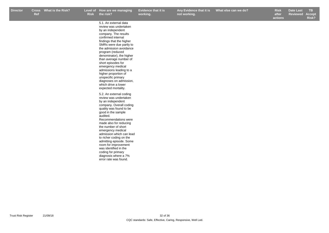5.1. An external data

**Evidence that it is working.**

**Any Evidence that it is not working.**

r Cross What is the Risk? Level of How are we managing Evidence that it is Any Evidence that it is What else can we do? Risk Date Last TB **Risk after What else can we do? Box Black Elect Elect Property Risk Date Last** 

**actions ReviewedAccept Risk?**

review was undertaken by an independent company. The results confirmed internal findings that the higher SMRs were due partly to the admission avoidance program (reduced denominator), the higher than average number of short episodes for emergency medical admissions leading to a higher proportion of unspecific primary diagnoses on admission, which drive a lower expected mortality. 5.2. An external coding review was undertaken by an independent company. Overall coding quality was found to be good in the sample audited. Recommendations were made also for reducing the number of short emergency medical admission which can lead to richer coding on the admitting episode. Some room for improvement was identified in the coding for primary diagnosis where a 7% error rate was found.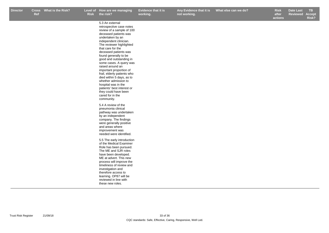5.3 An external

**Evidence that it is working.**

**not working.**

r Cross What is the Risk? Level of How are we managing Evidence that it is Any Evidence that it is What else can we do? Risk Date Last TB **Risk after** 

**actions Date Last Reviewed Accept Risk?**

| retrospective case notes<br>review of a sample of 100<br>deceased patients was<br>undertaken by an<br>independent clinician.<br>The reviewer highlighted<br>that care for the<br>deceased patients was<br>found generally to be<br>good and outstanding in<br>some cases. A query was                                                |
|--------------------------------------------------------------------------------------------------------------------------------------------------------------------------------------------------------------------------------------------------------------------------------------------------------------------------------------|
| raised around an<br>important proportion of<br>frail, elderly patients who<br>died within 5 days, as to<br>whether admission to<br>hospital was in the<br>patients' best interest or<br>they could have been<br>cared for in the<br>community.                                                                                       |
| 5.4 A review of the<br>pneumonia clinical<br>pathway was undertaken<br>by an independent<br>company. The findings<br>were generally positive<br>and areas where<br>improvement was<br>needed were identified.                                                                                                                        |
| 5.5 The early introduction<br>of the Medical Examiner<br>Role has been pursued.<br>The ME and SJR roles<br>have been developed.<br>ME at advert. This new<br>process will improve the<br>timeliness of review and<br>investigation and<br>therefore access to<br>learning. OP87 will be<br>reviewed in line with<br>these new roles. |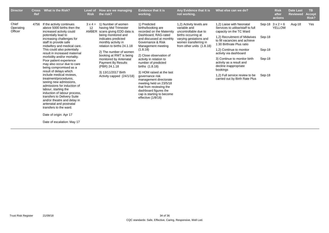| <b>Director</b>               | <b>Cross</b><br>Ref | What is the Risk?                                                                                                                                                                                                                                                                                                                                                                                                                                                                                                                                                                                                                                                                                                                                           | Level of<br><b>Risk</b>       | How are we managing<br>the risk?                                                                                                                                                                                                                                                                                                                           | <b>Evidence that it is</b><br>working.                                                                                                                                                                                                                                                                                                                                                                                                                                                 | Any Evidence that it is<br>not working.                                                                                                                                  | What else can we do?                                                                                                                                                                                                                                                                                                                                                                                               |                                      | <b>Risk</b><br>after<br>actions | <b>Date Last</b><br><b>Reviewed</b> | TB.<br><b>Accept</b><br>Risk? |
|-------------------------------|---------------------|-------------------------------------------------------------------------------------------------------------------------------------------------------------------------------------------------------------------------------------------------------------------------------------------------------------------------------------------------------------------------------------------------------------------------------------------------------------------------------------------------------------------------------------------------------------------------------------------------------------------------------------------------------------------------------------------------------------------------------------------------------------|-------------------------------|------------------------------------------------------------------------------------------------------------------------------------------------------------------------------------------------------------------------------------------------------------------------------------------------------------------------------------------------------------|----------------------------------------------------------------------------------------------------------------------------------------------------------------------------------------------------------------------------------------------------------------------------------------------------------------------------------------------------------------------------------------------------------------------------------------------------------------------------------------|--------------------------------------------------------------------------------------------------------------------------------------------------------------------------|--------------------------------------------------------------------------------------------------------------------------------------------------------------------------------------------------------------------------------------------------------------------------------------------------------------------------------------------------------------------------------------------------------------------|--------------------------------------|---------------------------------|-------------------------------------|-------------------------------|
| Chief<br>Operating<br>Officer | 4756                | If the activity continues<br>above 5000 births then the<br>increased activity could<br>potentially lead to<br>increasing challenges for<br>staff to provide safe<br>midwifery and medical care.<br>This could also potentially<br>result in increased maternal<br>morbidity and/or mortality.<br>Poor patient experience<br>may also occur due to care<br>being compromised as a<br>result of delays which<br>include medical reviews.<br>treatment/procedures,<br>seeing new admissions,<br>admissions for induction of<br>labour, starting the<br>induction of labour process,<br>transfers to Delivery Suite<br>and/or theatre and delay in<br>antenatal and postnatal<br>transfers to the ward.<br>Date of origin: Apr 17<br>Date of escalation: May 17 | $3 \times 4 =$<br>12<br>AMBER | 1) Number of women<br>having Mid Trimester<br>scans giving EDD data is<br>being monitored and<br>indicates predicted<br>monthly activity in<br>relation to births 24.1.18<br>2) The number of women<br>booking at RWT is being<br>monitored by Antenatal<br><b>Payment By Results</b><br>(PBR) 24.1.18<br>3) 13/11/2017 Birth<br>Activity capped (24/1/18) | 1) Predicted<br>births/booking are<br>recorded on the Maternity<br>Dashboard, RAG-rated<br>and discussed at monthly<br>Governance & Risk<br>Management meeting<br>(1.8.18)<br>2) Close observation of<br>activity in relation to<br>number of predicted<br>births (1.8.18)<br>3) HOM raised at the last<br>governance risk<br>management directorate<br>meeting held on 23/5/18<br>that from reviewing the<br>dashboard figures the<br>cap is starting to become<br>effective (1/8/18) | 1,2) Activity levels are<br>variable and<br>uncontrollable due to<br>births occurring at<br>varying gestations and<br>women transferring in<br>from other units (1.8.18) | 1,2) Liaise with Neonatal<br>Services to utilise/staff to full<br>capacity on the TC Ward<br>1,2) Recruitment of Midwives<br>to fill vacancies and achieve<br>1:30 Birthrate Plus ratio<br>1,2) Continue to monitor<br>activity via dashboard<br>3) Continue to monitor birth<br>activity as a result and<br>decline inappropriate<br>bookings<br>1,2) Full service review to be<br>carried out by Birth Rate Plus | Sep-18<br>Sep-18<br>Sep-18<br>Sep-18 | Sep-18 $3x2=6$<br>YELLOW        | Aug-18                              | Yes                           |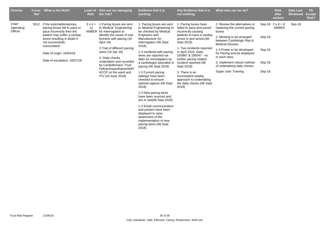| <b>Director</b>               | <b>Cross</b><br>Ref | What is the Risk?                                                                                                                                                                                                                                       | Level of<br><b>Risk</b>       | How are we managing<br>the risk?                                                                                                                                                                                                                                                                                                                          | <b>Evidence that it is</b><br>working.                                                                                                                                                                                                                                                                                                                                                                                                                                                                                                                                                                                                           | Any Evidence that it is<br>not working.                                                                                                                                                                                                                                                                                                                                                                  | What else can we do?                                                                                                                                                                                                                                                                                                         |                                      | <b>Risk</b><br>after<br>actions  | <b>Date Last</b><br><b>Reviewed</b> | <b>TB</b><br><b>Accept</b><br>Risk? |
|-------------------------------|---------------------|---------------------------------------------------------------------------------------------------------------------------------------------------------------------------------------------------------------------------------------------------------|-------------------------------|-----------------------------------------------------------------------------------------------------------------------------------------------------------------------------------------------------------------------------------------------------------------------------------------------------------------------------------------------------------|--------------------------------------------------------------------------------------------------------------------------------------------------------------------------------------------------------------------------------------------------------------------------------------------------------------------------------------------------------------------------------------------------------------------------------------------------------------------------------------------------------------------------------------------------------------------------------------------------------------------------------------------------|----------------------------------------------------------------------------------------------------------------------------------------------------------------------------------------------------------------------------------------------------------------------------------------------------------------------------------------------------------------------------------------------------------|------------------------------------------------------------------------------------------------------------------------------------------------------------------------------------------------------------------------------------------------------------------------------------------------------------------------------|--------------------------------------|----------------------------------|-------------------------------------|-------------------------------------|
| Chief<br>Operating<br>Officer | 5012                | If the external/temporary<br>pacing boxes fail to pace or<br>pace incorrectly then the<br>patient may suffer a cardiac<br>arrest resulting in death if<br>not successfully<br>resuscitated.<br>Date of origin: 16/04/18<br>Date of escalation: 16/07/18 | $3 \times 4 =$<br>12<br>AMBER | 1. Pacing boxes are sent<br>to Medical Engineering<br>for interrogation to<br>identify the cause of mal-<br>function with pacing (16<br>April 18)<br>2. Trial of different pacing<br>wires (16 Apr 18)<br>3. Daily checks<br>undertaken and recorded<br>by Cardiothoracic Trust<br>Fellow/Anaesthetist/ANP/<br>ACCP on the ward and<br>ITU (19 June 2018) | 1. Pacing boxes are sent<br>to Medical Engineering to<br>be checked by Medical<br>Engineers and<br>Manufacturer for<br>interrogation (06 Sept<br>2018)<br>1-3 Incidents with pacing<br>wires are reported via<br>datix for investigation by<br>a cardiologist specialist in<br>pacing (06 Sept 2018)<br>1-3 Current pacing<br>settings have been<br>checked to ensure<br>optimal capture (06 Sept<br>2018)<br>1-3 New pacing wires<br>have been sourced and<br>are in use(06 Sept 2018)<br>1-3 Email communication<br>and posters have been<br>displayed to raise<br>awareness of the<br>implementation of new<br>pacing wires (06 Sept<br>2018) | 1. Pacing boxes have<br>failed to pace and paced<br>incorrectly causing<br>patients to have a cardiac<br>arrest or peri-arrest. (06<br>Sept 2018)<br>1. Two incidents reported<br>in April 2018 Datix<br>193987 & 195047 - no<br>further pacing related<br>incident reported (06<br>Sept 2018)<br>3. There is an<br>inconsistent weekly<br>approach to undertaking<br>the daily checks (06 Sept<br>2018) | 2. Review the alternatives in<br>replacing the current pacing<br>boxes<br>2. Meeting to be arranged<br>between Cardiologic Rep &<br><b>Medical Devices</b><br>1-3 Poster to be developed<br>for Pacing and be displayed<br>in each area.<br>3. Implement robust method<br>of undertaking daily checks<br>Super User Training | Sep-18<br>Sep-18<br>Sep-18<br>Sep-18 | Sep-18 $2 \times 4 = 8$<br>AMBER | Sep-18                              |                                     |